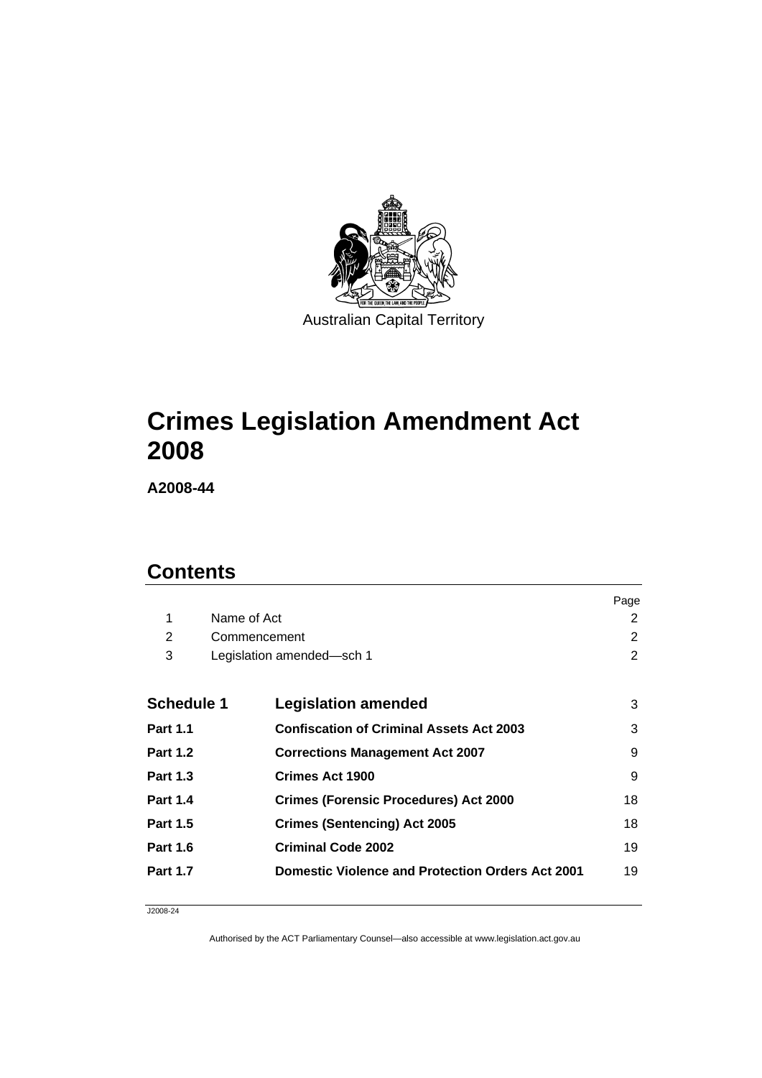

# **[Crimes Legislation Amendment Act](#page-2-0)  [2008](#page-2-0)**

**A2008-44** 

# **Contents**

|                   |              |                                                         | Page |
|-------------------|--------------|---------------------------------------------------------|------|
| 1                 | Name of Act  |                                                         | 2    |
| 2                 | Commencement |                                                         | 2    |
| 3                 |              | Legislation amended-sch 1                               | 2    |
|                   |              |                                                         |      |
| <b>Schedule 1</b> |              | <b>Legislation amended</b>                              | 3    |
| <b>Part 1.1</b>   |              | <b>Confiscation of Criminal Assets Act 2003</b>         | 3    |
| <b>Part 1.2</b>   |              | <b>Corrections Management Act 2007</b>                  | 9    |
| <b>Part 1.3</b>   |              | Crimes Act 1900                                         | 9    |
| <b>Part 1.4</b>   |              | <b>Crimes (Forensic Procedures) Act 2000</b>            | 18   |
| <b>Part 1.5</b>   |              | <b>Crimes (Sentencing) Act 2005</b>                     | 18   |
| <b>Part 1.6</b>   |              | <b>Criminal Code 2002</b>                               | 19   |
| <b>Part 1.7</b>   |              | <b>Domestic Violence and Protection Orders Act 2001</b> | 19   |

J2008-24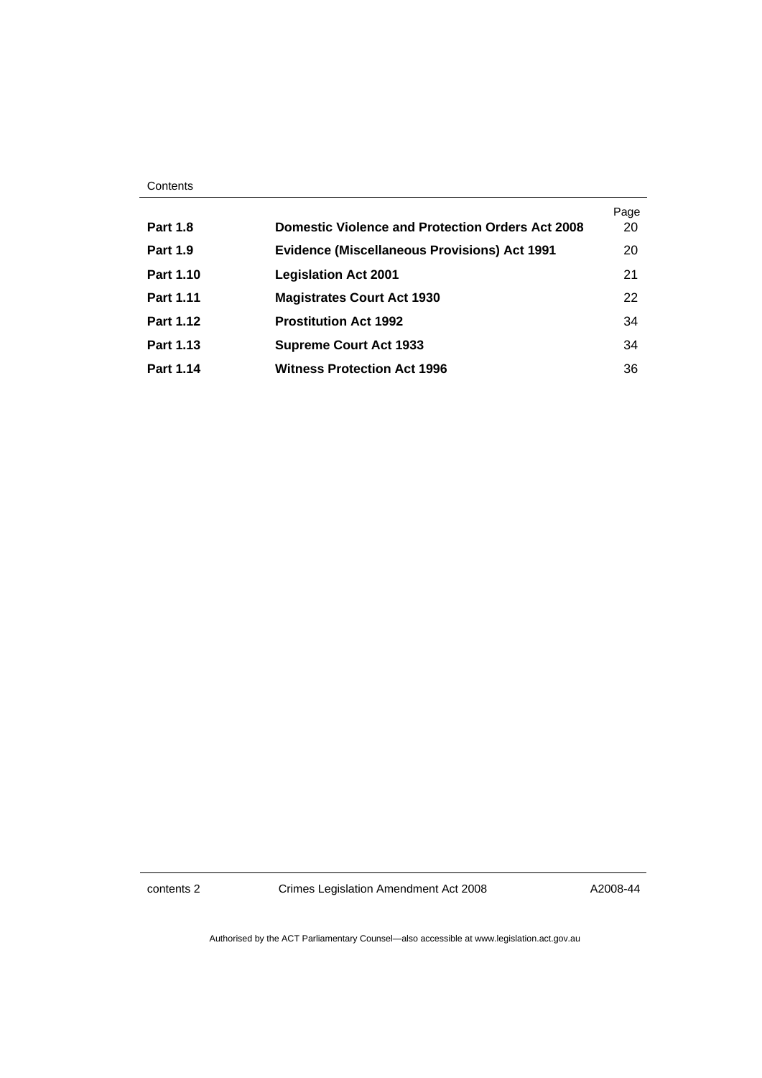|                  |                                                         | Page |
|------------------|---------------------------------------------------------|------|
| <b>Part 1.8</b>  | <b>Domestic Violence and Protection Orders Act 2008</b> | 20   |
| <b>Part 1.9</b>  | <b>Evidence (Miscellaneous Provisions) Act 1991</b>     | 20   |
| <b>Part 1.10</b> | <b>Legislation Act 2001</b>                             | 21   |
| <b>Part 1.11</b> | <b>Magistrates Court Act 1930</b>                       | 22   |
| Part 1.12        | <b>Prostitution Act 1992</b>                            | 34   |
| Part 1.13        | <b>Supreme Court Act 1933</b>                           | 34   |
| Part 1.14        | <b>Witness Protection Act 1996</b>                      | 36   |

contents 2 Crimes Legislation Amendment Act 2008

A2008-44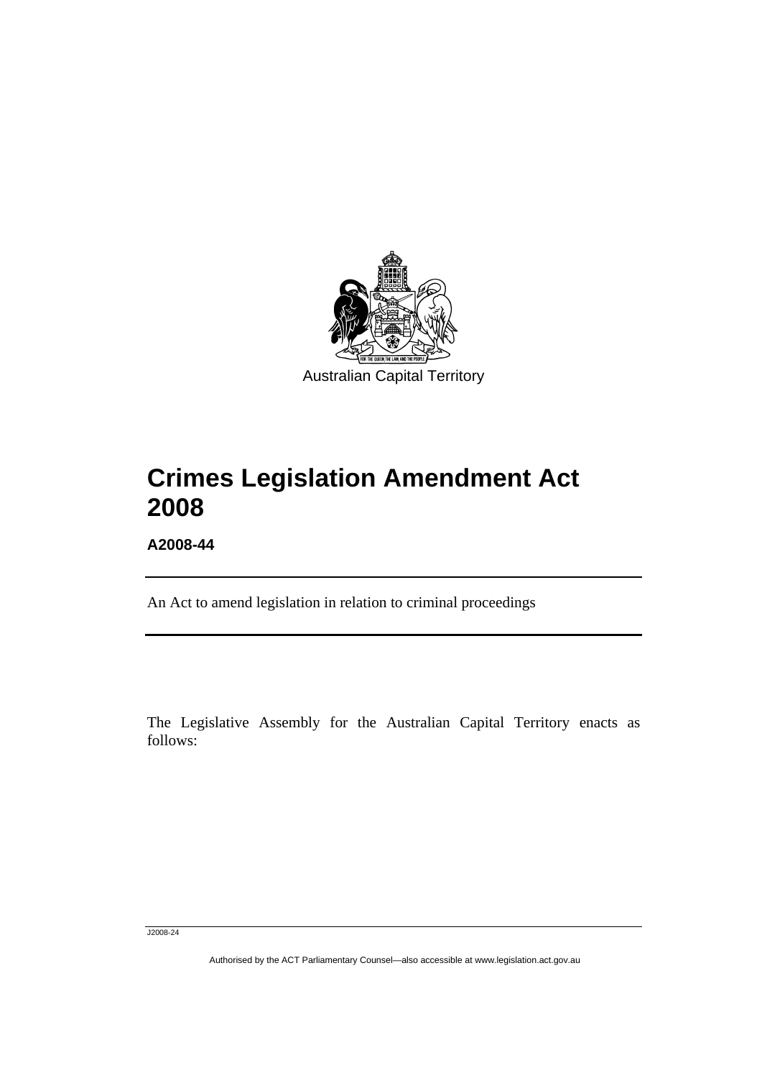<span id="page-2-0"></span>

# **Crimes Legislation Amendment Act 2008**

**A2008-44** 

l

An Act to amend legislation in relation to criminal proceedings

The Legislative Assembly for the Australian Capital Territory enacts as follows:

J2008-24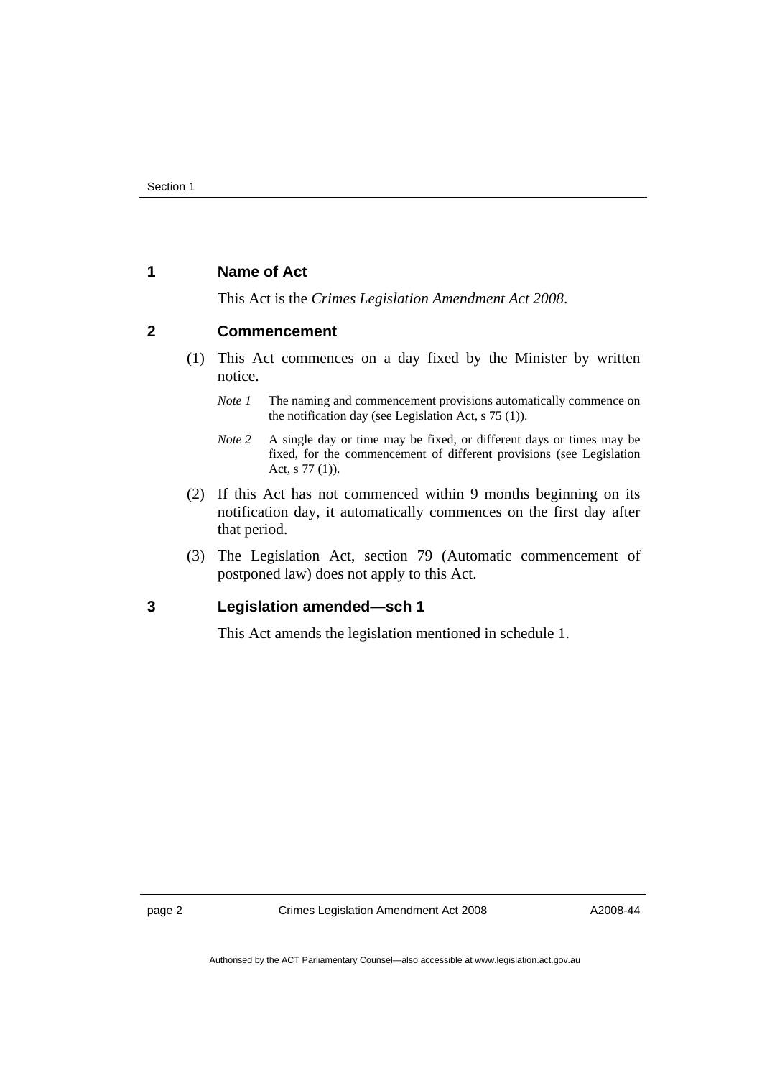#### <span id="page-3-0"></span>**1 Name of Act**

This Act is the *Crimes Legislation Amendment Act 2008*.

#### **2 Commencement**

- (1) This Act commences on a day fixed by the Minister by written notice.
	- *Note 1* The naming and commencement provisions automatically commence on the notification day (see Legislation Act, s 75 (1)).
	- *Note 2* A single day or time may be fixed, or different days or times may be fixed, for the commencement of different provisions (see Legislation Act, s 77 (1)).
- (2) If this Act has not commenced within 9 months beginning on its notification day, it automatically commences on the first day after that period.
- (3) The Legislation Act, section 79 (Automatic commencement of postponed law) does not apply to this Act.

#### **3 Legislation amended—sch 1**

This Act amends the legislation mentioned in schedule 1.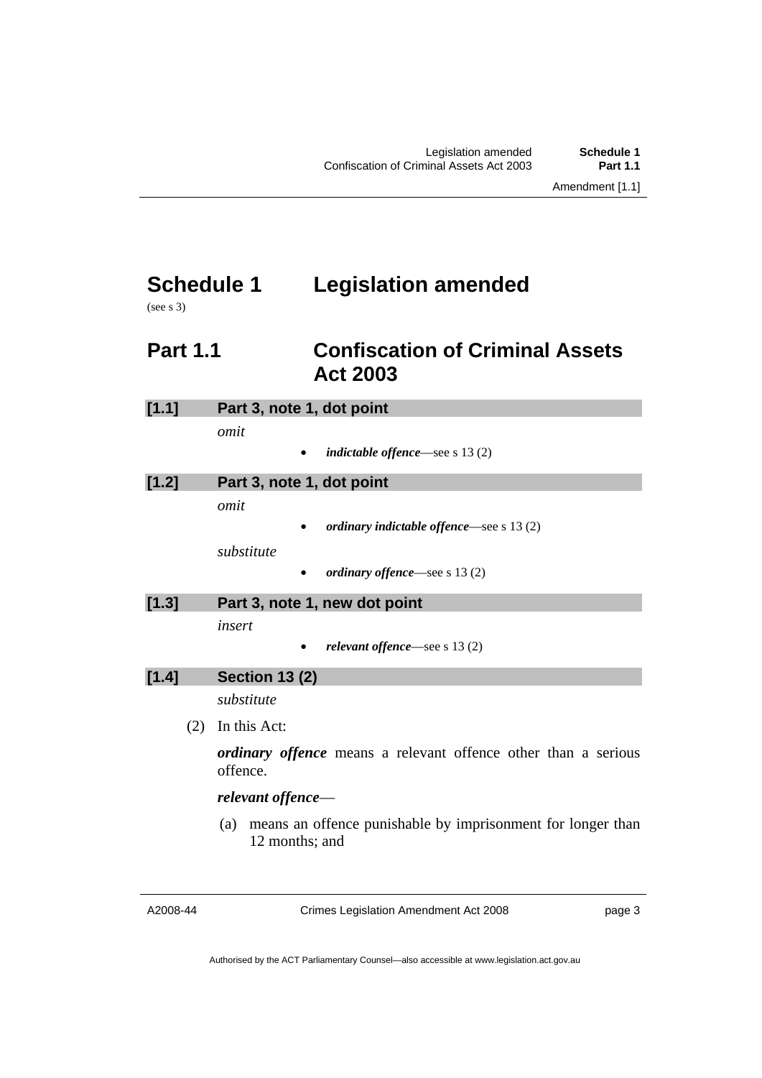# <span id="page-4-0"></span>**Schedule 1 Legislation amended**

(see s 3)

# **Part 1.1 Confiscation of Criminal Assets Act 2003**

| [1.1] | Part 3, note 1, dot point                                                            |  |
|-------|--------------------------------------------------------------------------------------|--|
|       | omit<br><i>indictable offence</i> —see s $13(2)$<br>$\bullet$                        |  |
| [1.2] | Part 3, note 1, dot point                                                            |  |
|       | omit                                                                                 |  |
|       | ordinary indictable offence—see $s$ 13 (2)                                           |  |
|       | substitute                                                                           |  |
|       | ordinary offence—see s 13 (2)                                                        |  |
| [1.3] | Part 3, note 1, new dot point                                                        |  |
|       | insert                                                                               |  |
|       | relevant offence—see s $13(2)$                                                       |  |
| [1.4] | <b>Section 13 (2)</b>                                                                |  |
|       | substitute                                                                           |  |
| (2)   | In this Act:                                                                         |  |
|       | <i>ordinary offence</i> means a relevant offence other than a serious<br>offence.    |  |
|       | relevant offence-                                                                    |  |
|       | means an offence punishable by imprisonment for longer than<br>(a)<br>12 months; and |  |

A2008-44

Crimes Legislation Amendment Act 2008

page 3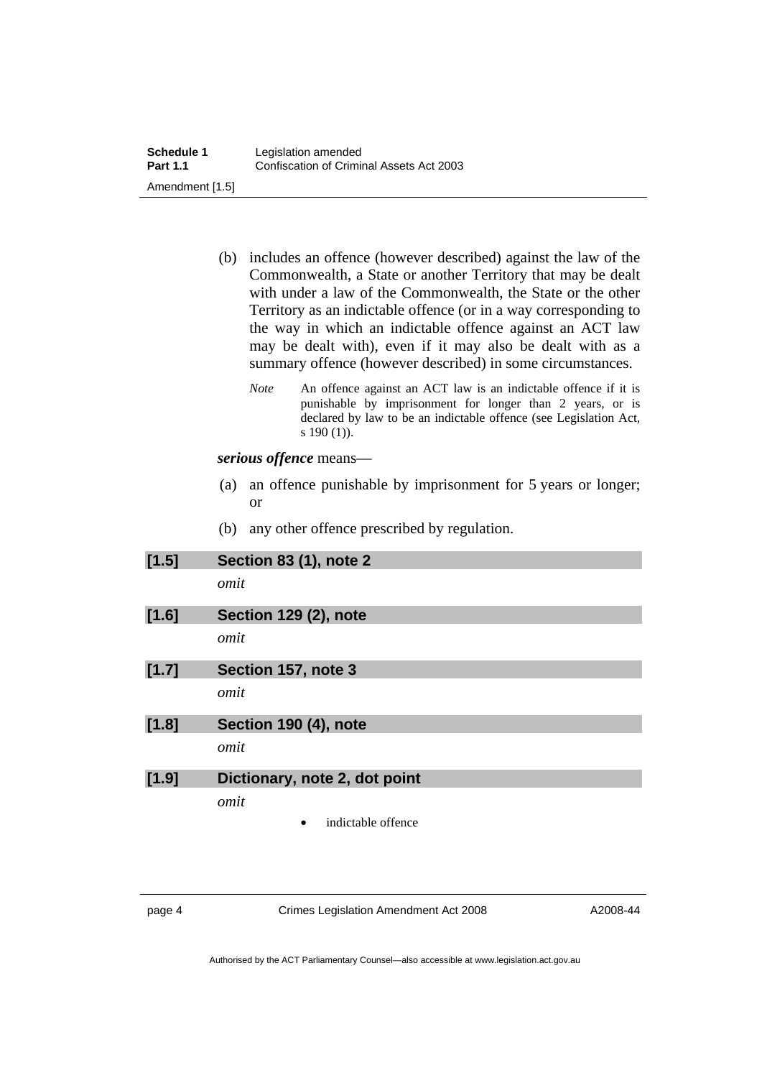| (b) | includes an offence (however described) against the law of the   |
|-----|------------------------------------------------------------------|
|     | Commonwealth, a State or another Territory that may be dealt     |
|     | with under a law of the Commonwealth, the State or the other     |
|     | Territory as an indictable offence (or in a way corresponding to |
|     | the way in which an indictable offence against an ACT law        |
|     | may be dealt with), even if it may also be dealt with as a       |
|     | summary offence (however described) in some circumstances.       |

*Note* An offence against an ACT law is an indictable offence if it is punishable by imprisonment for longer than 2 years, or is declared by law to be an indictable offence (see Legislation Act, s  $190(1)$ ).

*serious offence* means—

- (a) an offence punishable by imprisonment for 5 years or longer; or
- (b) any other offence prescribed by regulation.

| [1.5] | <b>Section 83 (1), note 2</b> |
|-------|-------------------------------|
|       | omit                          |
| [1.6] | Section 129 (2), note         |
|       | omit                          |
| [1.7] | Section 157, note 3           |
|       | omit                          |
| [1.8] | Section 190 (4), note         |
|       | omit                          |
| [1.9] | Dictionary, note 2, dot point |
|       | omit                          |
|       | indictable offence<br>٠       |

page 4 Crimes Legislation Amendment Act 2008

A2008-44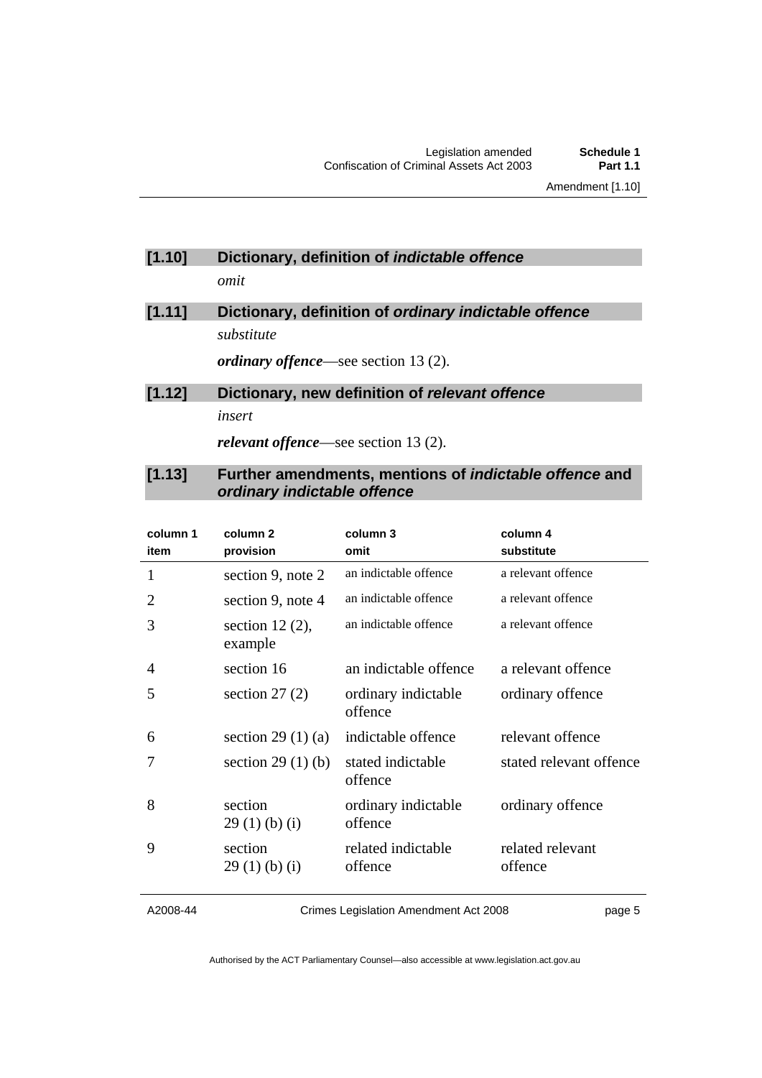### **[1.10] Dictionary, definition of** *indictable offence omit*

# **[1.11] Dictionary, definition of** *ordinary indictable offence substitute*

*ordinary offence*—see section 13 (2).

# **[1.12] Dictionary, new definition of** *relevant offence insert*

*relevant offence*—see section 13 (2).

#### **[1.13] Further amendments, mentions of** *indictable offence* **and**  *ordinary indictable offence*

| column 1<br>item | column <sub>2</sub><br>provision | column 3<br>omit               | column 4<br>substitute      |
|------------------|----------------------------------|--------------------------------|-----------------------------|
| 1                | section 9, note 2                | an indictable offence          | a relevant offence          |
| 2                | section 9, note 4                | an indictable offence          | a relevant offence          |
| 3                | section $12(2)$ ,<br>example     | an indictable offence          | a relevant offence          |
| 4                | section 16                       | an indictable offence          | a relevant offence          |
| 5                | section $27(2)$                  | ordinary indictable<br>offence | ordinary offence            |
| 6                | section 29 $(1)$ $(a)$           | indictable offence             | relevant offence            |
| 7                | section $29(1)(b)$               | stated indictable<br>offence   | stated relevant offence     |
| 8                | section<br>29(1)(b)(i)           | ordinary indictable<br>offence | ordinary offence            |
| 9                | section<br>$29(1)$ (b) (i)       | related indictable<br>offence  | related relevant<br>offence |

A2008-44

Crimes Legislation Amendment Act 2008

page 5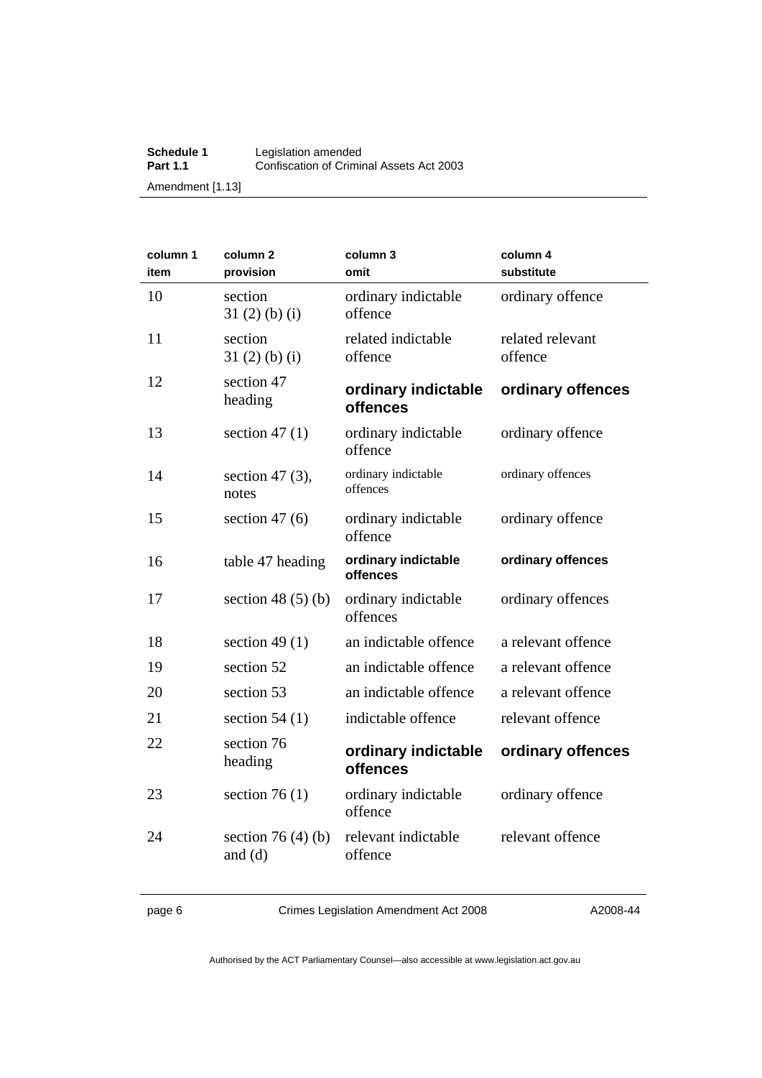#### **Schedule 1** Legislation amended **Part 1.1 Confiscation of Criminal Assets Act 2003** Amendment [1.13]

| column 1<br>item | column <sub>2</sub><br>provision    | column 3<br>omit                | column 4<br>substitute      |
|------------------|-------------------------------------|---------------------------------|-----------------------------|
| 10               | section<br>$31(2)$ (b) (i)          | ordinary indictable<br>offence  | ordinary offence            |
| 11               | section<br>31(2)(b)(i)              | related indictable<br>offence   | related relevant<br>offence |
| 12               | section 47<br>heading               | ordinary indictable<br>offences | ordinary offences           |
| 13               | section 47 $(1)$                    | ordinary indictable<br>offence  | ordinary offence            |
| 14               | section 47 $(3)$ ,<br>notes         | ordinary indictable<br>offences | ordinary offences           |
| 15               | section $47(6)$                     | ordinary indictable<br>offence  | ordinary offence            |
| 16               | table 47 heading                    | ordinary indictable<br>offences | ordinary offences           |
| 17               | section 48 $(5)$ $(b)$              | ordinary indictable<br>offences | ordinary offences           |
| 18               | section 49 $(1)$                    | an indictable offence           | a relevant offence          |
| 19               | section 52                          | an indictable offence           | a relevant offence          |
| 20               | section 53                          | an indictable offence           | a relevant offence          |
| 21               | section $54(1)$                     | indictable offence              | relevant offence            |
| 22               | section 76<br>heading               | ordinary indictable<br>offences | ordinary offences           |
| 23               | section 76 $(1)$                    | ordinary indictable<br>offence  | ordinary offence            |
| 24               | section 76 $(4)$ $(b)$<br>and $(d)$ | relevant indictable<br>offence  | relevant offence            |

page 6 Crimes Legislation Amendment Act 2008

A2008-44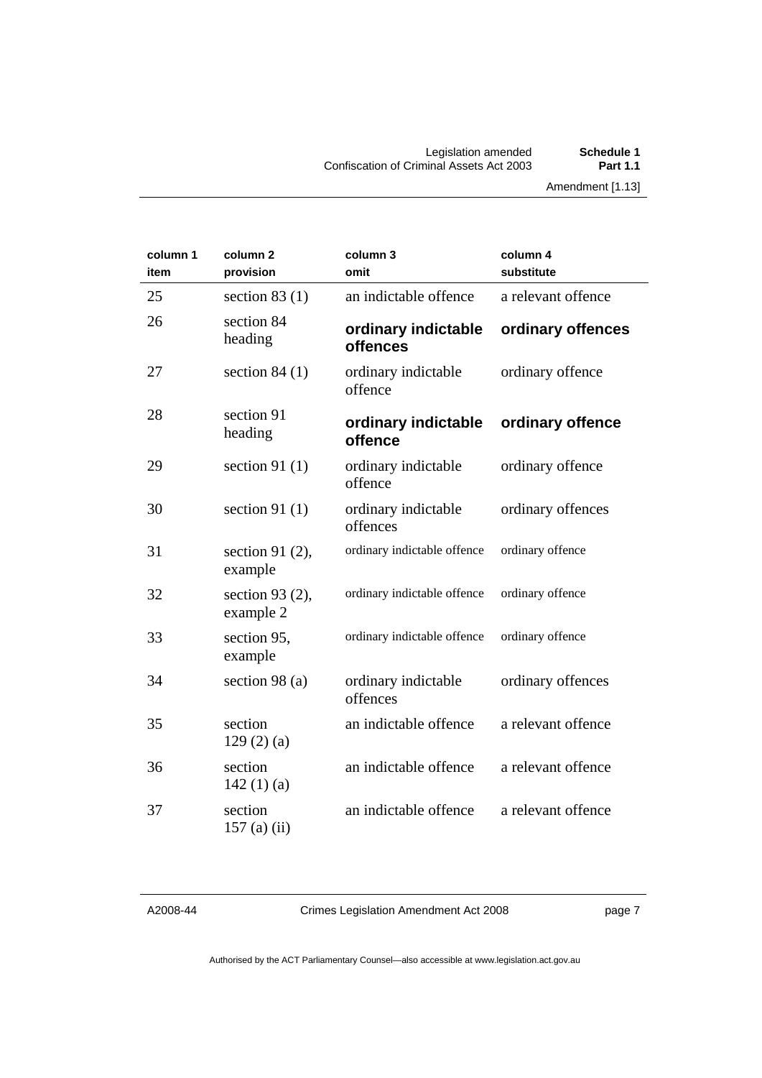| column 1<br>item | column <sub>2</sub><br>provision | column 3<br>omit                | column 4<br>substitute |
|------------------|----------------------------------|---------------------------------|------------------------|
| 25               | section $83(1)$                  | an indictable offence           | a relevant offence     |
| 26               | section 84<br>heading            | ordinary indictable<br>offences | ordinary offences      |
| 27               | section $84(1)$                  | ordinary indictable<br>offence  | ordinary offence       |
| 28               | section 91<br>heading            | ordinary indictable<br>offence  | ordinary offence       |
| 29               | section 91 $(1)$                 | ordinary indictable<br>offence  | ordinary offence       |
| 30               | section 91 $(1)$                 | ordinary indictable<br>offences | ordinary offences      |
| 31               | section 91 $(2)$ ,<br>example    | ordinary indictable offence     | ordinary offence       |
| 32               | section 93 $(2)$ ,<br>example 2  | ordinary indictable offence     | ordinary offence       |
| 33               | section 95,<br>example           | ordinary indictable offence     | ordinary offence       |
| 34               | section 98 (a)                   | ordinary indictable<br>offences | ordinary offences      |
| 35               | section<br>129(2)(a)             | an indictable offence           | a relevant offence     |
| 36               | section<br>142 $(1)(a)$          | an indictable offence           | a relevant offence     |
| 37               | section<br>157 $(a)$ $(ii)$      | an indictable offence           | a relevant offence     |

A2008-44

Crimes Legislation Amendment Act 2008

page 7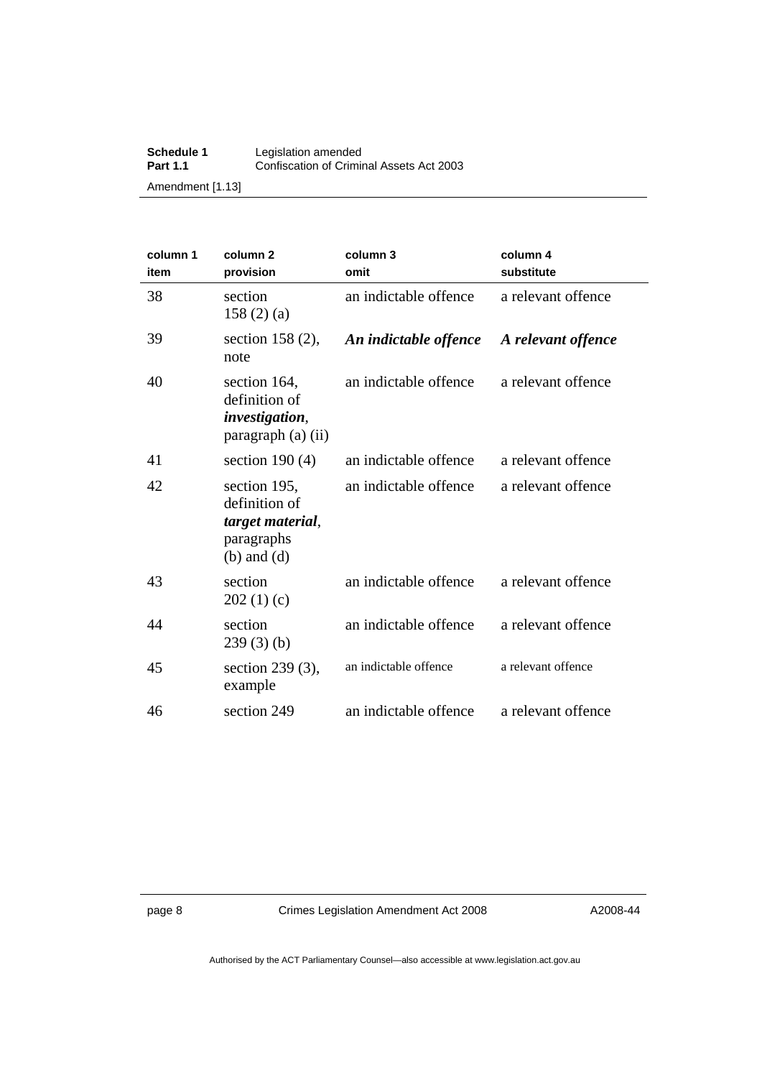#### **Schedule 1** Legislation amended **Part 1.1 Confiscation of Criminal Assets Act 2003** Amendment [1.13]

| column 1<br>item | column <sub>2</sub><br>provision                                                   | column 3<br>omit      | column 4<br>substitute |
|------------------|------------------------------------------------------------------------------------|-----------------------|------------------------|
| 38               | section<br>158 $(2)$ $(a)$                                                         | an indictable offence | a relevant offence     |
| 39               | section $158(2)$ ,<br>note                                                         | An indictable offence | A relevant offence     |
| 40               | section 164,<br>definition of<br><i>investigation</i> ,<br>paragraph (a) (ii)      | an indictable offence | a relevant offence     |
| 41               | section $190(4)$                                                                   | an indictable offence | a relevant offence     |
| 42               | section 195,<br>definition of<br>target material,<br>paragraphs<br>$(b)$ and $(d)$ | an indictable offence | a relevant offence     |
| 43               | section<br>202(1)(c)                                                               | an indictable offence | a relevant offence     |
| 44               | section<br>239(3)(b)                                                               | an indictable offence | a relevant offence     |
| 45               | section 239 (3),<br>example                                                        | an indictable offence | a relevant offence     |
| 46               | section 249                                                                        | an indictable offence | a relevant offence     |

page 8 Crimes Legislation Amendment Act 2008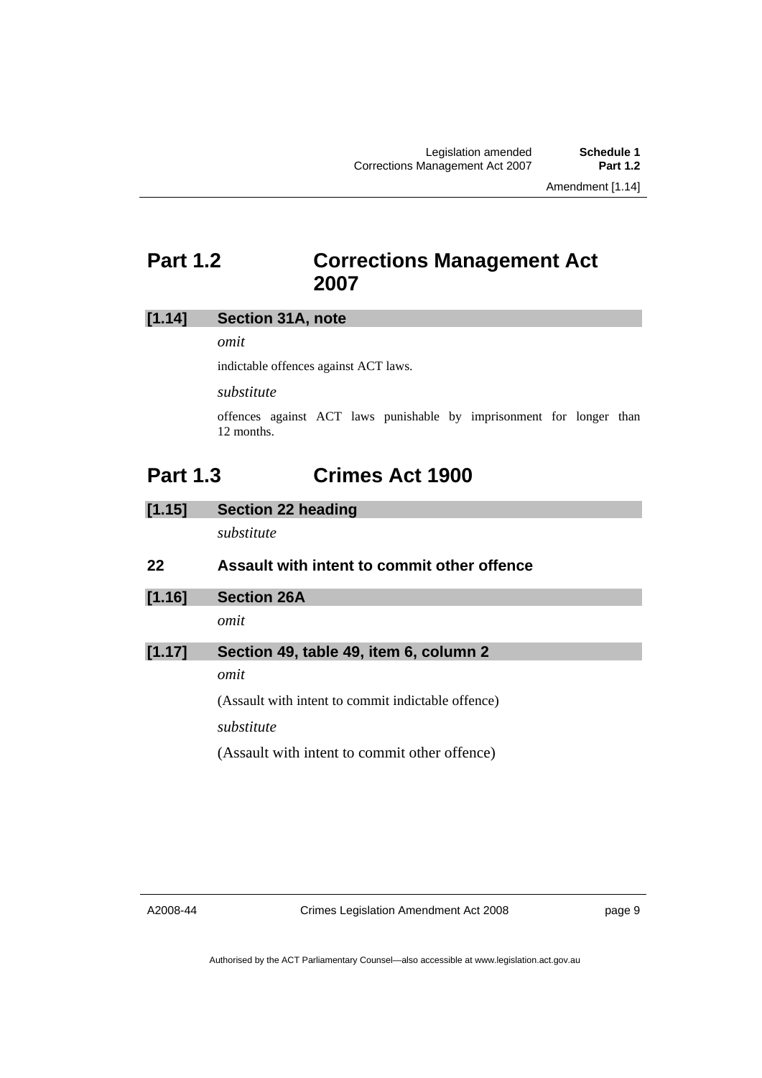Amendment [1.14]

# <span id="page-10-0"></span>**Part 1.2 Corrections Management Act 2007**

#### **[1.14] Section 31A, note**

*omit* 

indictable offences against ACT laws.

*substitute* 

offences against ACT laws punishable by imprisonment for longer than 12 months.

# **Part 1.3 Crimes Act 1900**

**[1.15] Section 22 heading** 

*substitute* 

#### **22 Assault with intent to commit other offence**

**[1.16] Section 26A** 

*omit* 

### **[1.17] Section 49, table 49, item 6, column 2**

*omit* 

(Assault with intent to commit indictable offence) *substitute* 

(Assault with intent to commit other offence)

A2008-44

Crimes Legislation Amendment Act 2008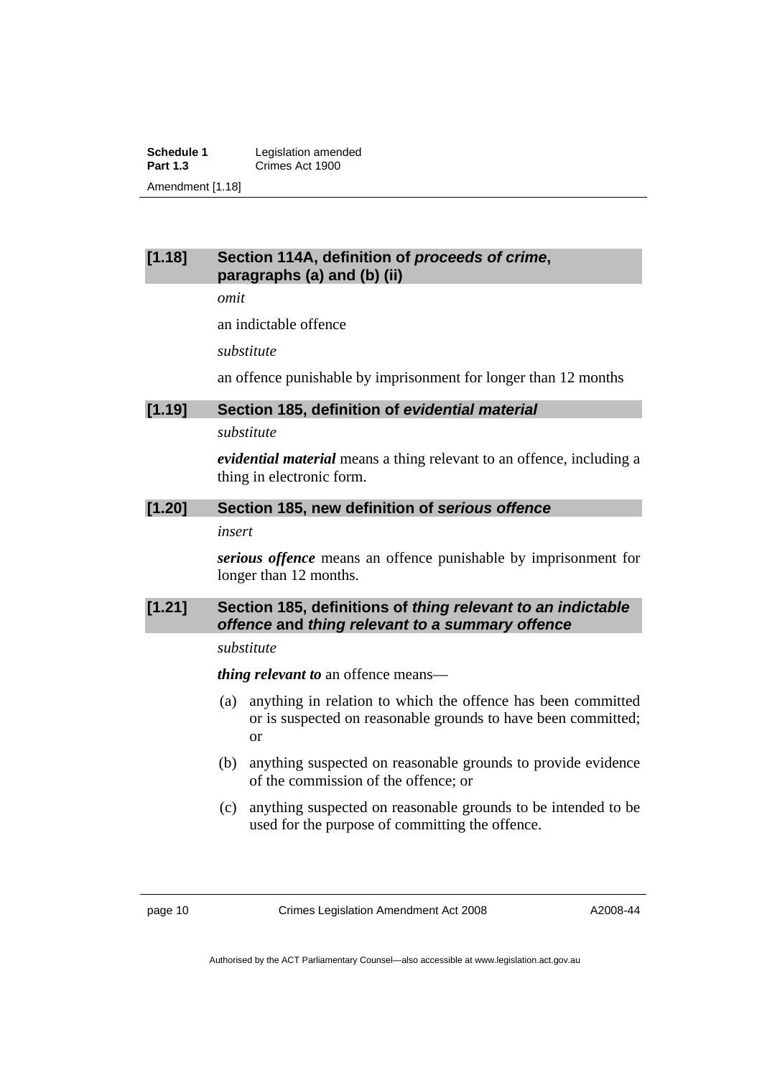**Schedule 1** Legislation amended<br> **Part 1.3** Crimes Act 1900 **Part 1.3** Crimes Act 1900 Amendment [1.18]

#### **[1.18] Section 114A, definition of** *proceeds of crime***, paragraphs (a) and (b) (ii)**

*omit* 

an indictable offence

*substitute* 

an offence punishable by imprisonment for longer than 12 months

#### **[1.19] Section 185, definition of** *evidential material*

*substitute* 

*evidential material* means a thing relevant to an offence, including a thing in electronic form.

#### **[1.20] Section 185, new definition of** *serious offence*

#### *insert*

*serious offence* means an offence punishable by imprisonment for longer than 12 months.

#### **[1.21] Section 185, definitions of** *thing relevant to an indictable offence* **and** *thing relevant to a summary offence*

#### *substitute*

*thing relevant to* an offence means—

- (a) anything in relation to which the offence has been committed or is suspected on reasonable grounds to have been committed; or
- (b) anything suspected on reasonable grounds to provide evidence of the commission of the offence; or
- (c) anything suspected on reasonable grounds to be intended to be used for the purpose of committing the offence.

page 10 Crimes Legislation Amendment Act 2008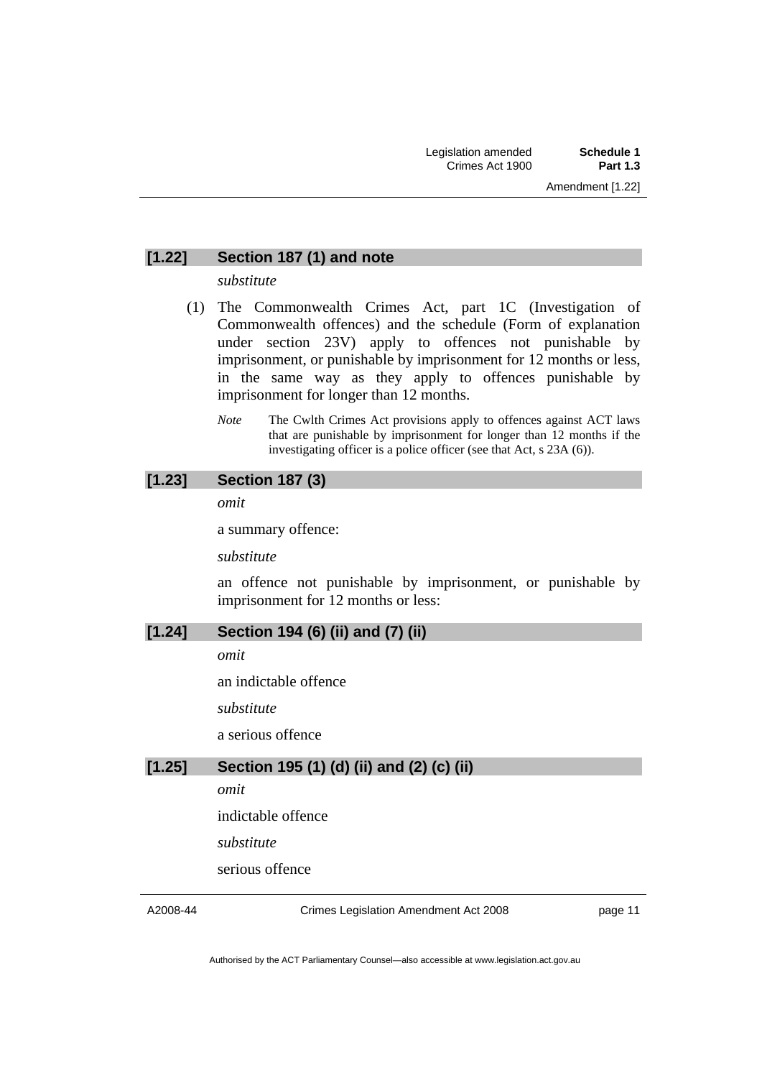#### **[1.22] Section 187 (1) and note**

*substitute* 

- (1) The Commonwealth Crimes Act, part 1C (Investigation of Commonwealth offences) and the schedule (Form of explanation under section 23V) apply to offences not punishable by imprisonment, or punishable by imprisonment for 12 months or less, in the same way as they apply to offences punishable by imprisonment for longer than 12 months.
	- *Note* The Cwlth Crimes Act provisions apply to offences against ACT laws that are punishable by imprisonment for longer than 12 months if the investigating officer is a police officer (see that Act, s 23A (6)).

### **[1.23] Section 187 (3)**

*omit* 

a summary offence:

*substitute* 

an offence not punishable by imprisonment, or punishable by imprisonment for 12 months or less:

#### **[1.24] Section 194 (6) (ii) and (7) (ii)**

*omit* 

an indictable offence

*substitute* 

a serious offence

### **[1.25] Section 195 (1) (d) (ii) and (2) (c) (ii)**

*omit* 

indictable offence

*substitute* 

serious offence

A2008-44

Crimes Legislation Amendment Act 2008

page 11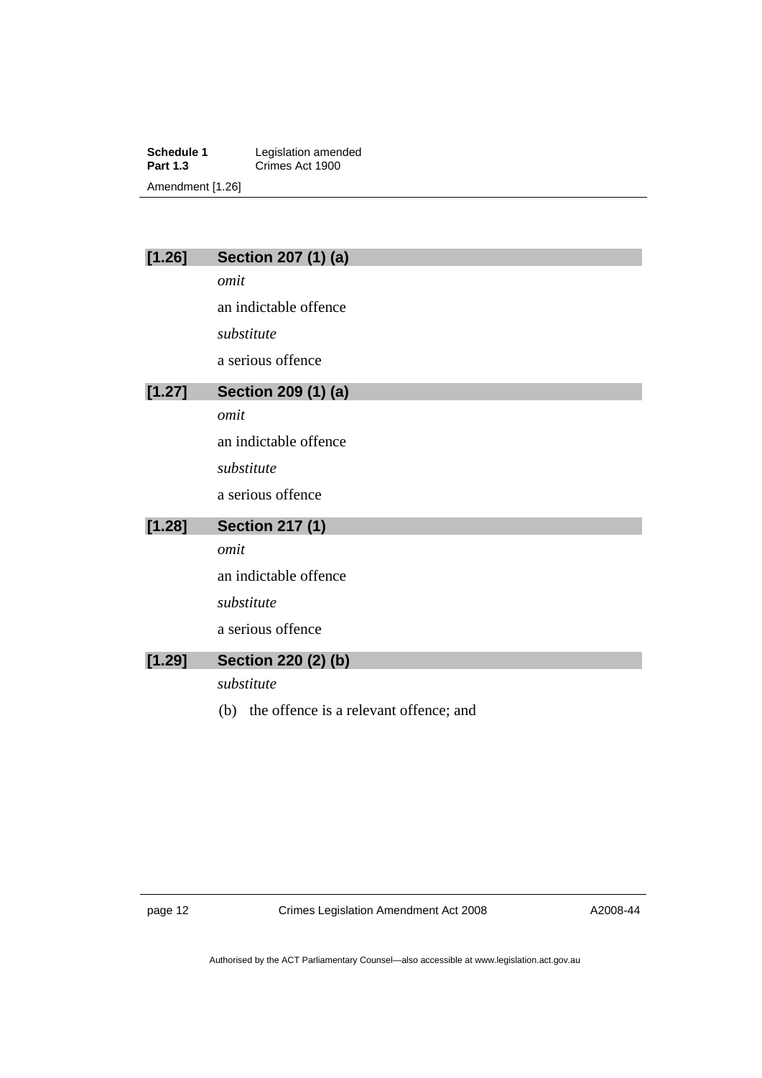**Schedule 1** Legislation amended<br> **Part 1.3** Crimes Act 1900 **Part 1.3** Crimes Act 1900 Amendment [1.26]

### **[1.26] Section 207 (1) (a)**

*omit* 

an indictable offence

*substitute* 

a serious offence

### **[1.27] Section 209 (1) (a)**

*omit* 

an indictable offence

*substitute* 

a serious offence

# **[1.28] Section 217 (1)**

*omit* 

an indictable offence

*substitute* 

a serious offence

## **[1.29] Section 220 (2) (b)**

*substitute* 

(b) the offence is a relevant offence; and

page 12 Crimes Legislation Amendment Act 2008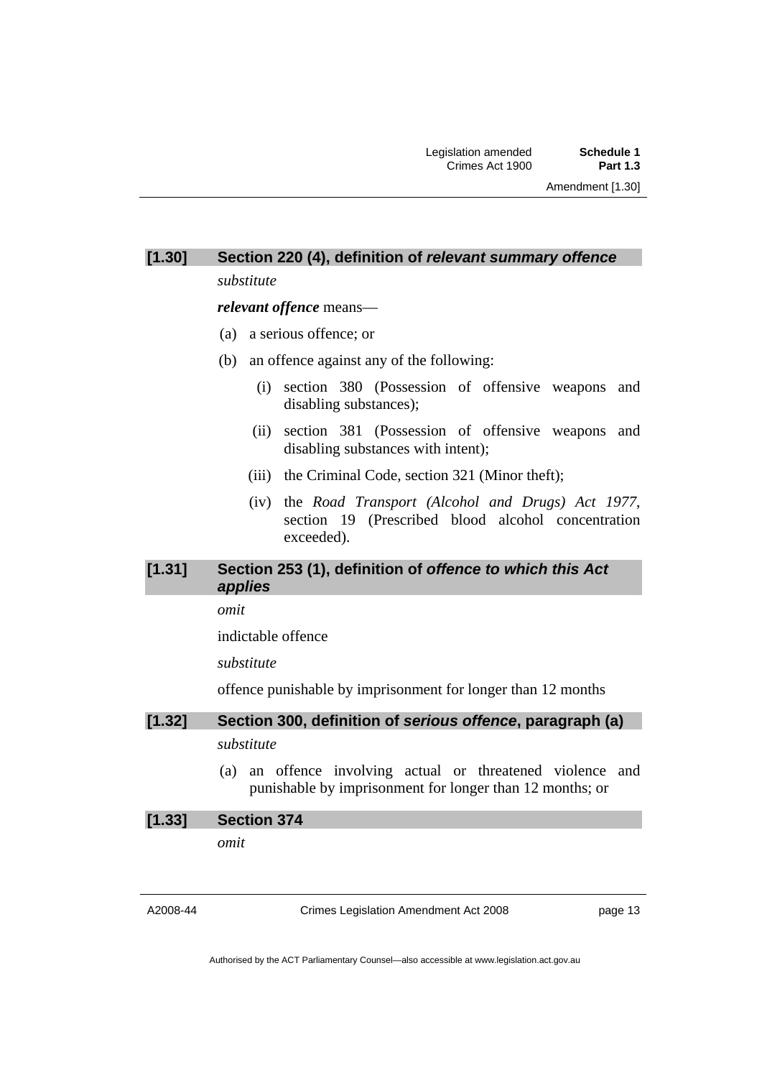## **[1.30] Section 220 (4), definition of** *relevant summary offence*

*substitute* 

*relevant offence* means—

- (a) a serious offence; or
- (b) an offence against any of the following:
	- (i) section 380 (Possession of offensive weapons and disabling substances);
	- (ii) section 381 (Possession of offensive weapons and disabling substances with intent);
	- (iii) the Criminal Code, section 321 (Minor theft);
	- (iv) the *Road Transport (Alcohol and Drugs) Act 1977*, section 19 (Prescribed blood alcohol concentration exceeded).

#### **[1.31] Section 253 (1), definition of** *offence to which this Act applies*

*omit* 

indictable offence

*substitute* 

offence punishable by imprisonment for longer than 12 months

### **[1.32] Section 300, definition of** *serious offence***, paragraph (a)**  *substitute*

 (a) an offence involving actual or threatened violence and punishable by imprisonment for longer than 12 months; or

# **[1.33] Section 374**  *omit*

A2008-44

Crimes Legislation Amendment Act 2008

page 13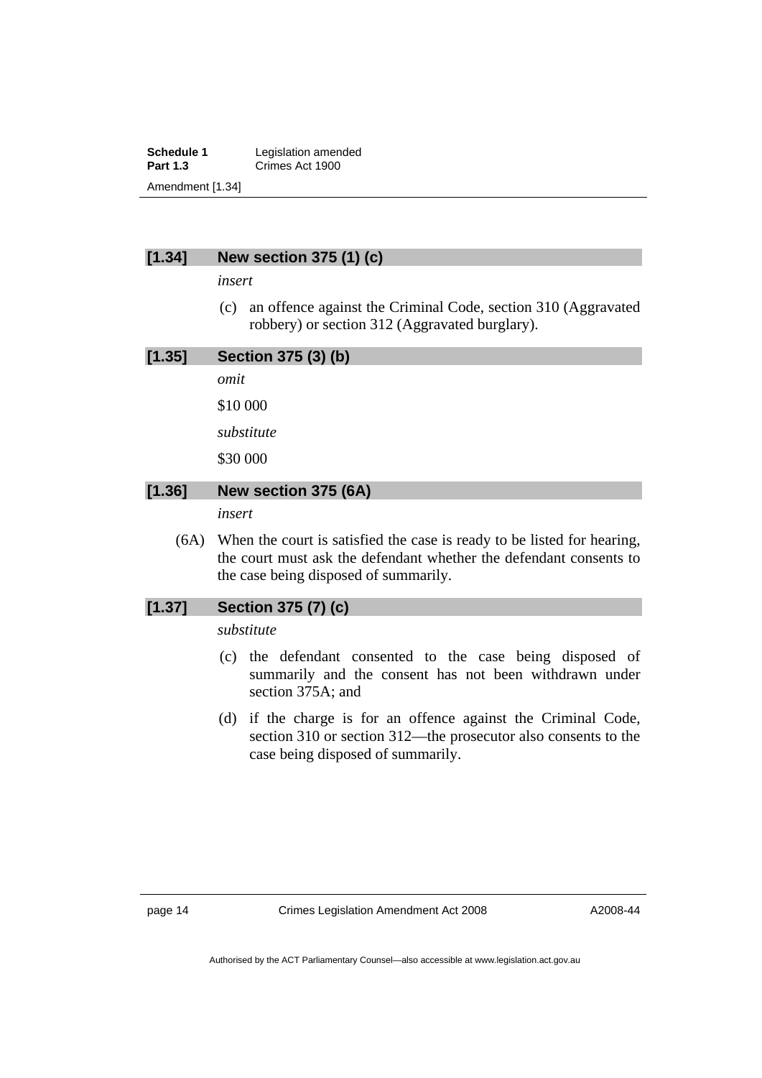**Schedule 1** Legislation amended<br> **Part 1.3** Crimes Act 1900 **Part 1.3** Crimes Act 1900 Amendment [1.34]

#### **[1.34] New section 375 (1) (c)**

*insert* 

 (c) an offence against the Criminal Code, section 310 (Aggravated robbery) or section 312 (Aggravated burglary).

| [1.35] | Section 375 (3) (b)                                                                                                                                                                    |
|--------|----------------------------------------------------------------------------------------------------------------------------------------------------------------------------------------|
|        | omit                                                                                                                                                                                   |
|        | \$10 000                                                                                                                                                                               |
|        | substitute                                                                                                                                                                             |
|        | \$30 000                                                                                                                                                                               |
| [1.36] | New section 375 (6A)                                                                                                                                                                   |
|        | insert                                                                                                                                                                                 |
| (6A)   | When the court is satisfied the case is ready to be listed for hearing,<br>the court must ask the defendant whether the defendant consents to<br>the case being disposed of summarily. |

#### **[1.37] Section 375 (7) (c)**

*substitute* 

- (c) the defendant consented to the case being disposed of summarily and the consent has not been withdrawn under section 375A; and
- (d) if the charge is for an offence against the Criminal Code, section 310 or section 312—the prosecutor also consents to the case being disposed of summarily.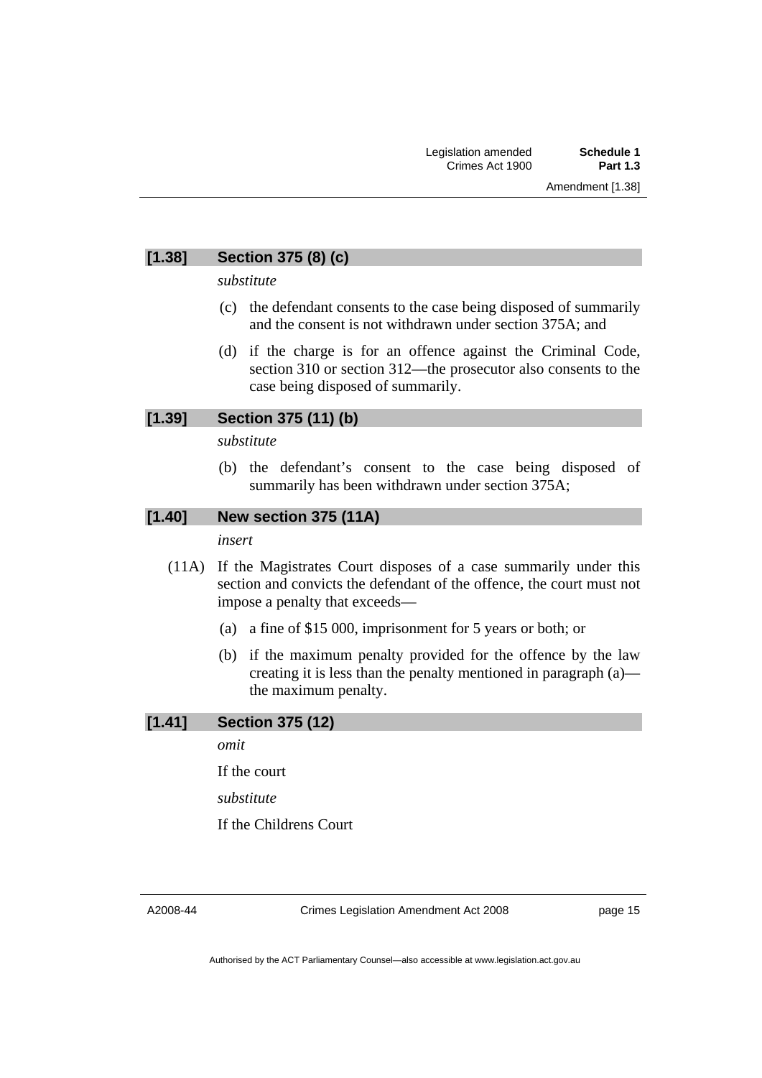### **[1.38] Section 375 (8) (c)**

*substitute* 

- (c) the defendant consents to the case being disposed of summarily and the consent is not withdrawn under section 375A; and
- (d) if the charge is for an offence against the Criminal Code, section 310 or section 312—the prosecutor also consents to the case being disposed of summarily.

### **[1.39] Section 375 (11) (b)**

*substitute* 

 (b) the defendant's consent to the case being disposed of summarily has been withdrawn under section 375A;

#### **[1.40] New section 375 (11A)**

*insert* 

- (11A) If the Magistrates Court disposes of a case summarily under this section and convicts the defendant of the offence, the court must not impose a penalty that exceeds—
	- (a) a fine of \$15 000, imprisonment for 5 years or both; or
	- (b) if the maximum penalty provided for the offence by the law creating it is less than the penalty mentioned in paragraph (a) the maximum penalty.

#### **[1.41] Section 375 (12)**

*omit* 

If the court

*substitute* 

If the Childrens Court

A2008-44

Crimes Legislation Amendment Act 2008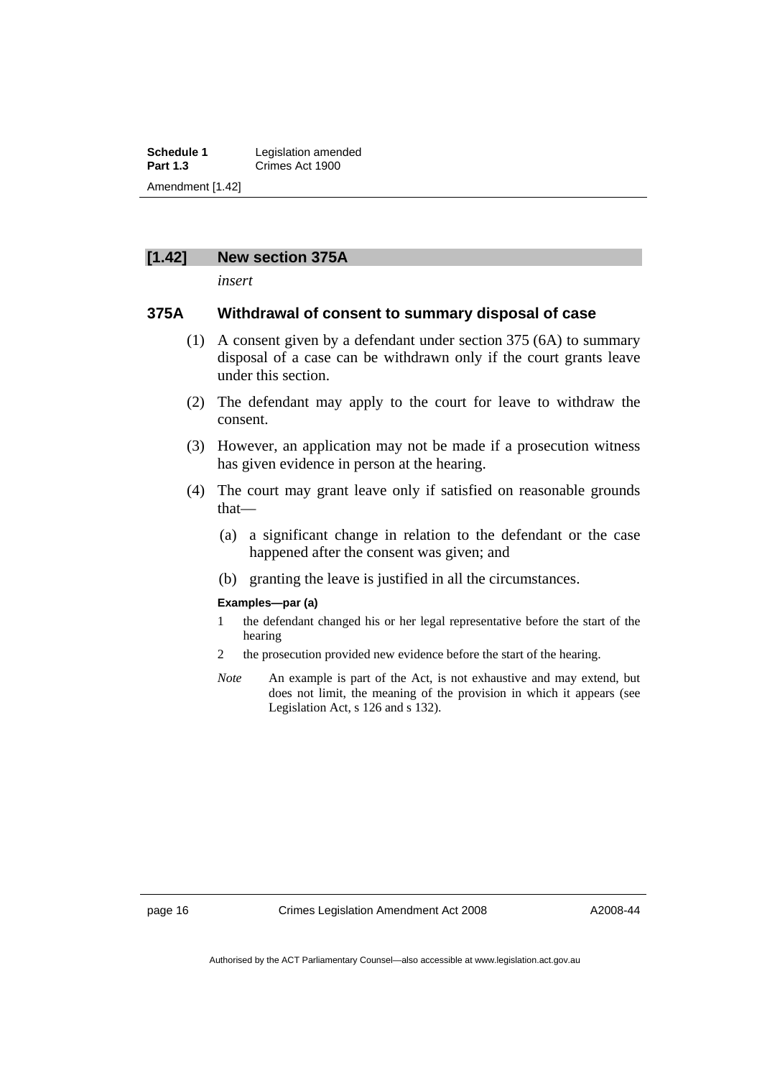**Schedule 1** Legislation amended<br> **Part 1.3** Crimes Act 1900 **Part 1.3** Crimes Act 1900 Amendment [1.42]

#### **[1.42] New section 375A**

*insert* 

#### **375A Withdrawal of consent to summary disposal of case**

- (1) A consent given by a defendant under section 375 (6A) to summary disposal of a case can be withdrawn only if the court grants leave under this section.
- (2) The defendant may apply to the court for leave to withdraw the consent.
- (3) However, an application may not be made if a prosecution witness has given evidence in person at the hearing.
- (4) The court may grant leave only if satisfied on reasonable grounds that—
	- (a) a significant change in relation to the defendant or the case happened after the consent was given; and
	- (b) granting the leave is justified in all the circumstances.

#### **Examples—par (a)**

- 1 the defendant changed his or her legal representative before the start of the hearing
- 2 the prosecution provided new evidence before the start of the hearing.
- *Note* An example is part of the Act, is not exhaustive and may extend, but does not limit, the meaning of the provision in which it appears (see Legislation Act, s 126 and s 132).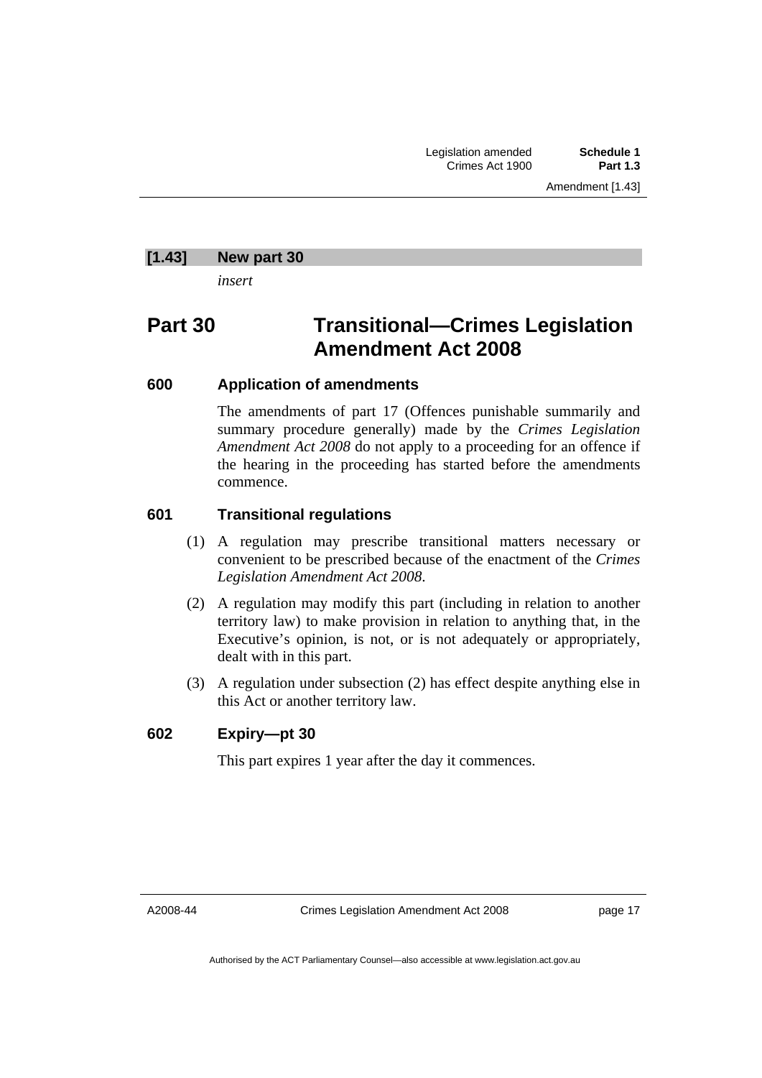#### **[1.43] New part 30**

*insert* 

# **Part 30 Transitional—Crimes Legislation Amendment Act 2008**

### **600 Application of amendments**

The amendments of part 17 (Offences punishable summarily and summary procedure generally) made by the *Crimes Legislation Amendment Act 2008* do not apply to a proceeding for an offence if the hearing in the proceeding has started before the amendments commence.

### **601 Transitional regulations**

- (1) A regulation may prescribe transitional matters necessary or convenient to be prescribed because of the enactment of the *Crimes Legislation Amendment Act 2008*.
- (2) A regulation may modify this part (including in relation to another territory law) to make provision in relation to anything that, in the Executive's opinion, is not, or is not adequately or appropriately, dealt with in this part.
- (3) A regulation under subsection (2) has effect despite anything else in this Act or another territory law.

#### **602 Expiry—pt 30**

This part expires 1 year after the day it commences.

A2008-44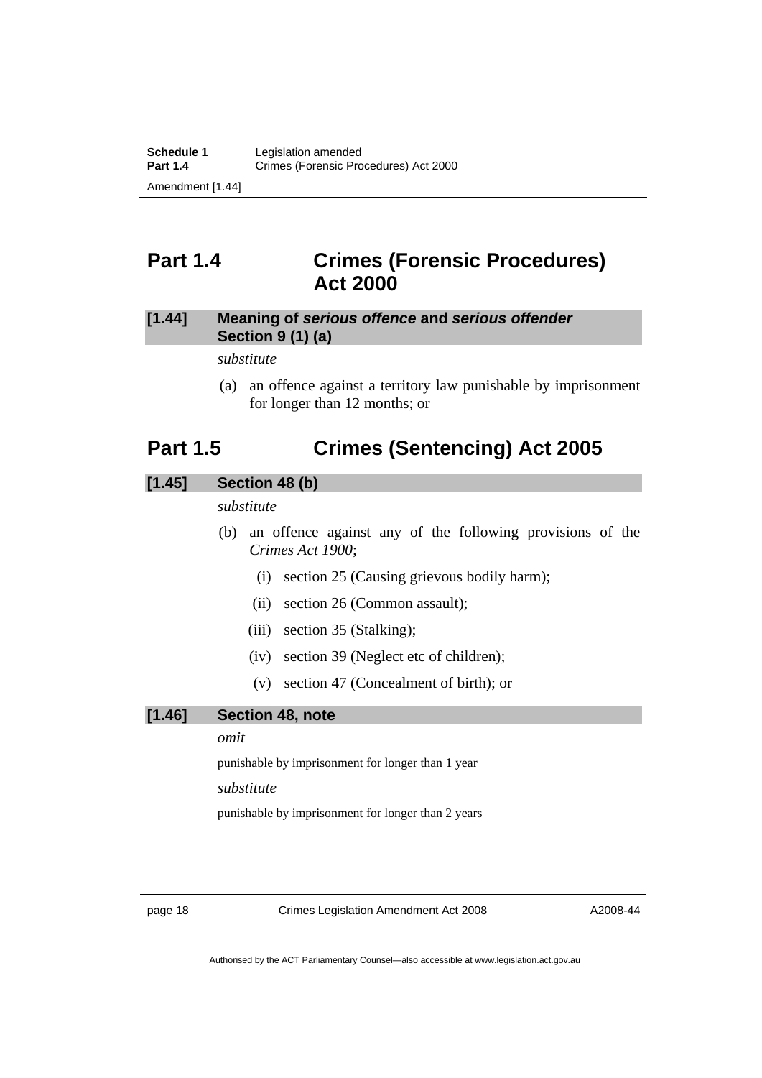# <span id="page-19-0"></span>**Part 1.4 Crimes (Forensic Procedures) Act 2000**

### **[1.44] Meaning of** *serious offence* **and** *serious offender* **Section 9 (1) (a)**

*substitute* 

 (a) an offence against a territory law punishable by imprisonment for longer than 12 months; or

# **Part 1.5 Crimes (Sentencing) Act 2005**

### **[1.45] Section 48 (b)**

*substitute* 

- (b) an offence against any of the following provisions of the *Crimes Act 1900*;
	- (i) section 25 (Causing grievous bodily harm);
	- (ii) section 26 (Common assault);
	- (iii) section 35 (Stalking);
	- (iv) section 39 (Neglect etc of children);
	- (v) section 47 (Concealment of birth); or

#### **[1.46] Section 48, note**

#### *omit*

punishable by imprisonment for longer than 1 year

#### *substitute*

punishable by imprisonment for longer than 2 years

page 18 Crimes Legislation Amendment Act 2008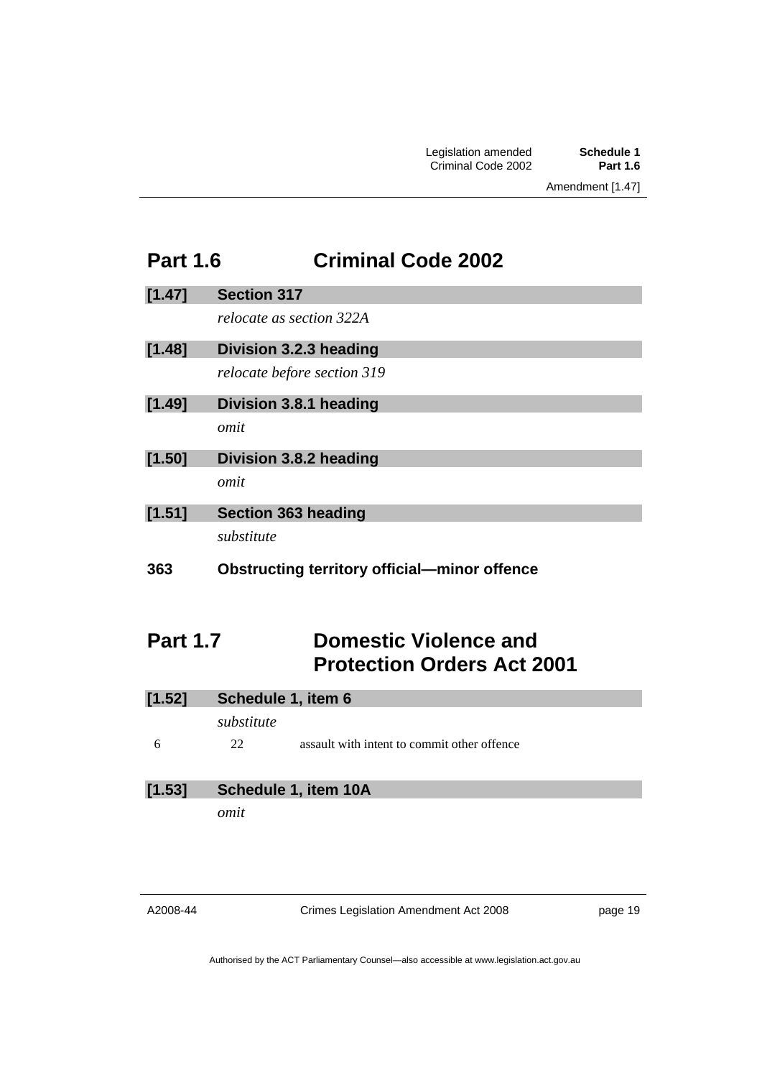# <span id="page-20-0"></span>**Part 1.6 Criminal Code 2002**

| [1.47] | <b>Section 317</b>                                  |
|--------|-----------------------------------------------------|
|        | relocate as section 322A                            |
| [1.48] | Division 3.2.3 heading                              |
|        | relocate before section 319                         |
| [1.49] | Division 3.8.1 heading                              |
|        | omit                                                |
| [1.50] | Division 3.8.2 heading                              |
|        | omit                                                |
| [1.51] | <b>Section 363 heading</b>                          |
|        | substitute                                          |
| 363    | <b>Obstructing territory official-minor offence</b> |
|        | A.<br>. VII.<br>. н.                                |

# **Part 1.7 Domestic Violence and Protection Orders Act 2001**

| [1.52] | Schedule 1, item 6 |                                             |
|--------|--------------------|---------------------------------------------|
|        | substitute         |                                             |
| 6      | 22                 | assault with intent to commit other offence |
|        |                    |                                             |
| [1.53] |                    | Schedule 1, item 10A                        |
|        | omit               |                                             |
|        |                    |                                             |

A2008-44

Crimes Legislation Amendment Act 2008

page 19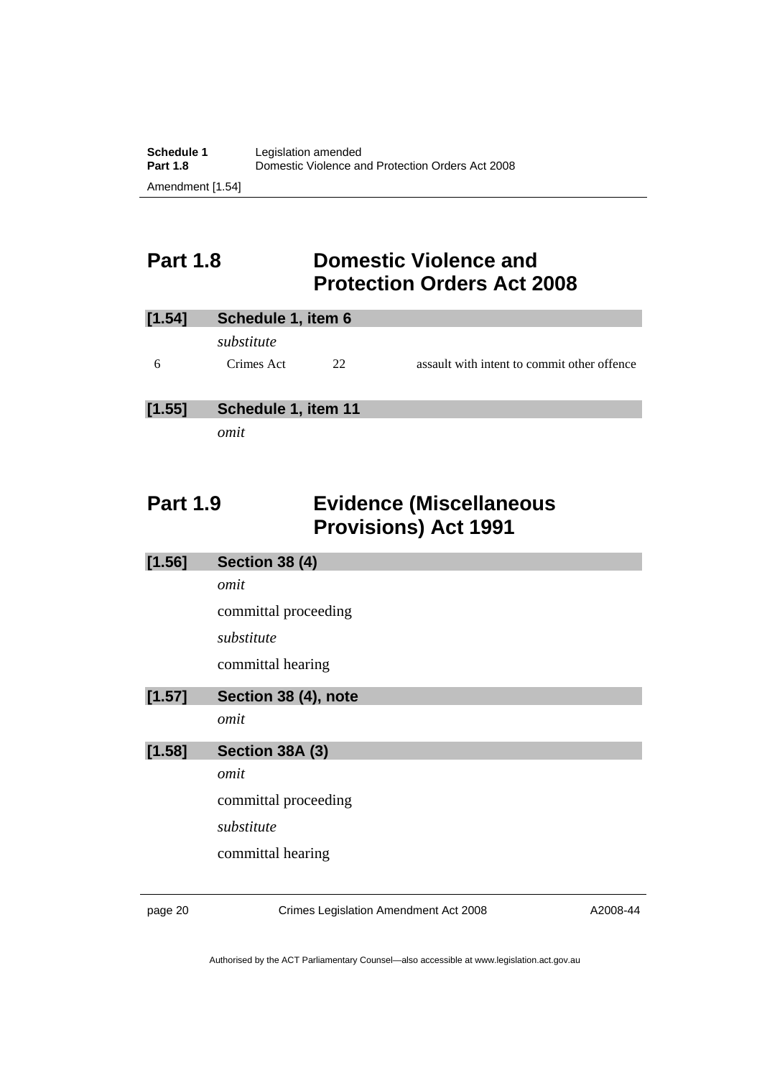# <span id="page-21-0"></span>**Part 1.8 Domestic Violence and Protection Orders Act 2008**

| [1.54] | Schedule 1, item 6 |              |                                             |
|--------|--------------------|--------------|---------------------------------------------|
|        | substitute         |              |                                             |
| 6      | Crimes Act         | $22^{\circ}$ | assault with intent to commit other offence |
|        |                    |              |                                             |

### **[1.55] Schedule 1, item 11**

*omit* 

# **Part 1.9 Evidence (Miscellaneous Provisions) Act 1991**

| [1.56] | <b>Section 38 (4)</b> |
|--------|-----------------------|
|        | omit                  |
|        | committal proceeding  |
|        | substitute            |
|        | committal hearing     |
| [1.57] | Section 38 (4), note  |
|        | omit                  |
| [1.58] | Section 38A (3)       |
|        | omit                  |
|        | committal proceeding  |
|        | substitute            |
|        | committal hearing     |
|        |                       |

page 20 Crimes Legislation Amendment Act 2008

A2008-44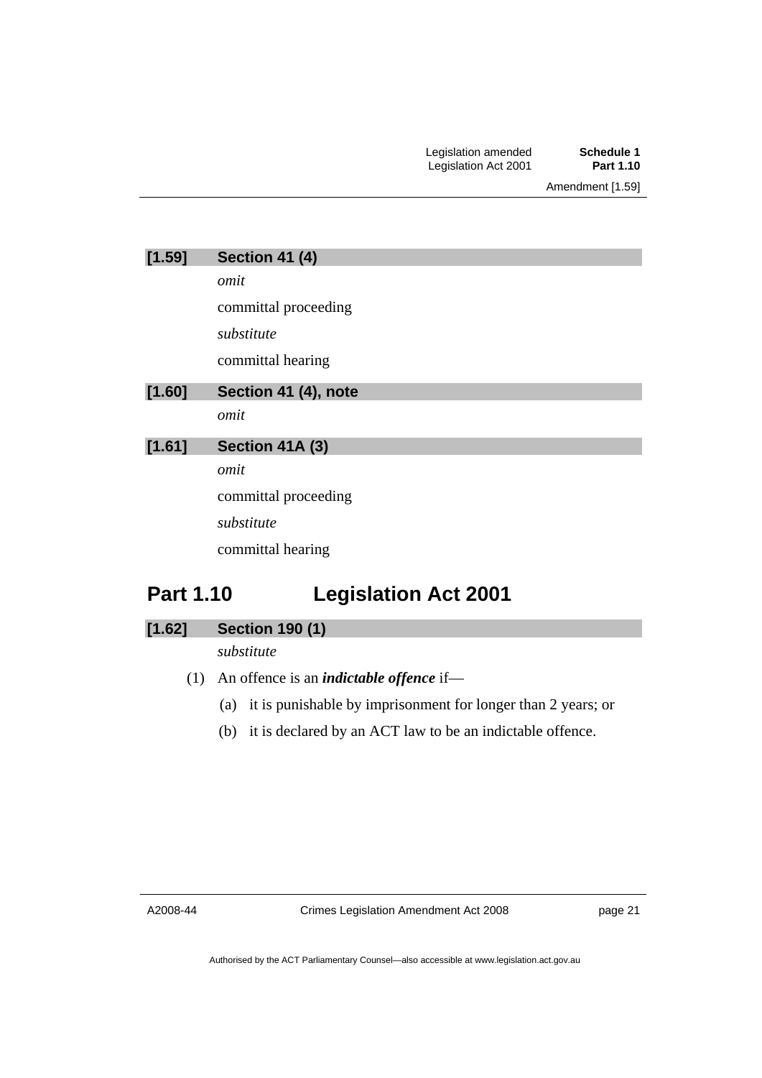<span id="page-22-0"></span>

| [1.59] | <b>Section 41 (4)</b> |  |  |
|--------|-----------------------|--|--|
|        | omit                  |  |  |
|        | committal proceeding  |  |  |
|        | substitute            |  |  |
|        | committal hearing     |  |  |
| [1.60] | Section 41 (4), note  |  |  |
|        | omit                  |  |  |
| [1.61] | Section 41A (3)       |  |  |
|        | omit                  |  |  |
|        | committal proceeding  |  |  |
|        | substitute            |  |  |
|        | committal hearing     |  |  |
|        |                       |  |  |

# **Part 1.10 Legislation Act 2001**

| [1.62] | <b>Section 190 (1)</b> |  |
|--------|------------------------|--|

*substitute* 

- (1) An offence is an *indictable offence* if—
	- (a) it is punishable by imprisonment for longer than 2 years; or
	- (b) it is declared by an ACT law to be an indictable offence.

A2008-44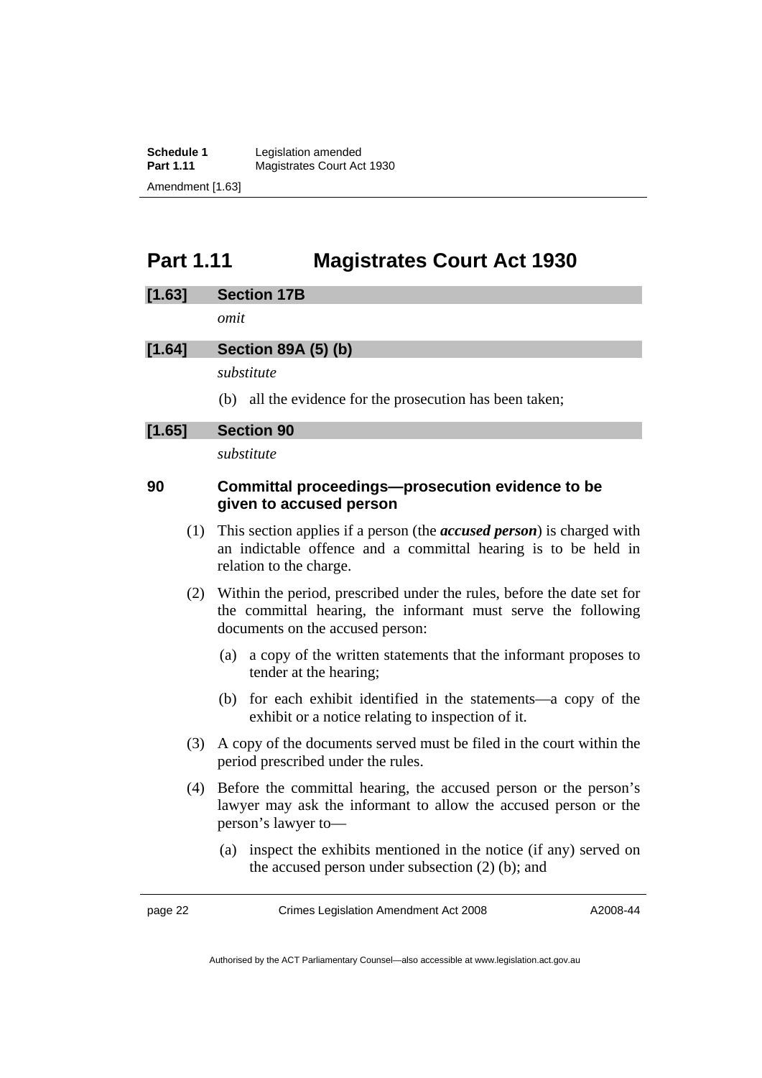<span id="page-23-0"></span>**Schedule 1** Legislation amended<br> **Part 1.11** Magistrates Court Ac **Magistrates Court Act 1930** Amendment [1.63]

# **Part 1.11 Magistrates Court Act 1930**

#### **[1.63] Section 17B**

*omit* 

### **[1.64] Section 89A (5) (b)**

*substitute* 

(b) all the evidence for the prosecution has been taken;

#### **[1.65] Section 90**

*substitute* 

### **90 Committal proceedings—prosecution evidence to be given to accused person**

- (1) This section applies if a person (the *accused person*) is charged with an indictable offence and a committal hearing is to be held in relation to the charge.
- (2) Within the period, prescribed under the rules, before the date set for the committal hearing, the informant must serve the following documents on the accused person:
	- (a) a copy of the written statements that the informant proposes to tender at the hearing;
	- (b) for each exhibit identified in the statements—a copy of the exhibit or a notice relating to inspection of it.
- (3) A copy of the documents served must be filed in the court within the period prescribed under the rules.
- (4) Before the committal hearing, the accused person or the person's lawyer may ask the informant to allow the accused person or the person's lawyer to—
	- (a) inspect the exhibits mentioned in the notice (if any) served on the accused person under subsection (2) (b); and

page 22 Crimes Legislation Amendment Act 2008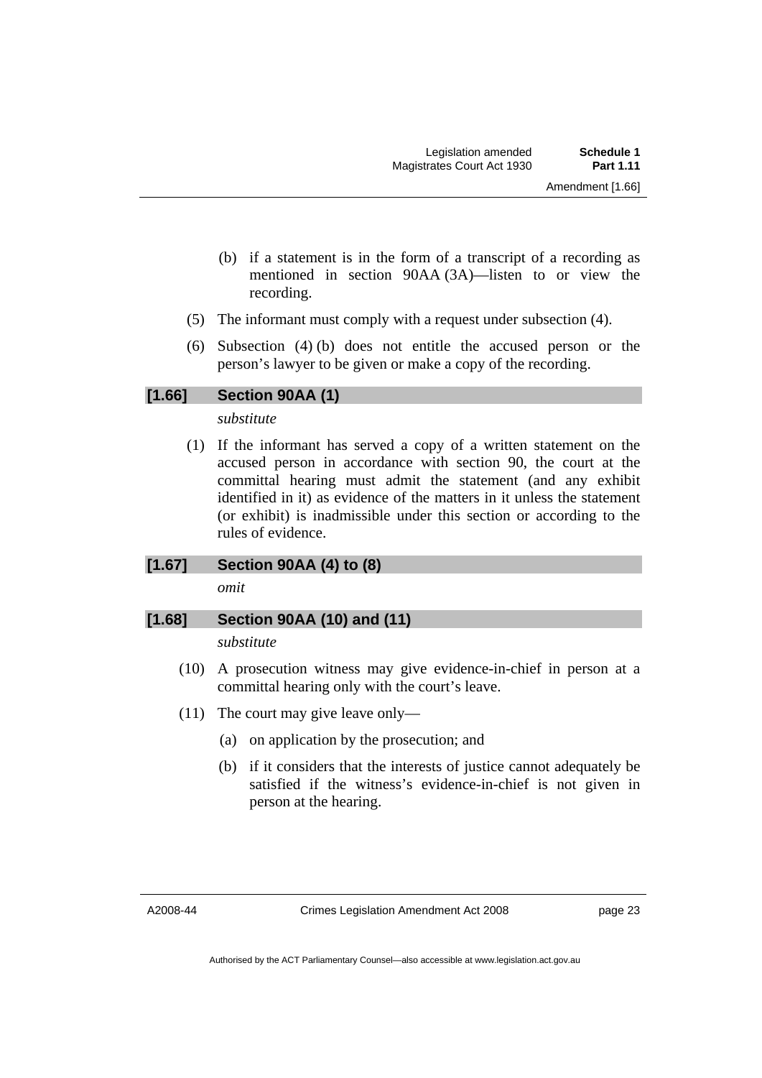- (b) if a statement is in the form of a transcript of a recording as mentioned in section 90AA (3A)—listen to or view the recording.
- (5) The informant must comply with a request under subsection (4).
- (6) Subsection (4) (b) does not entitle the accused person or the person's lawyer to be given or make a copy of the recording.

#### **[1.66] Section 90AA (1)**

*substitute* 

 (1) If the informant has served a copy of a written statement on the accused person in accordance with section 90, the court at the committal hearing must admit the statement (and any exhibit identified in it) as evidence of the matters in it unless the statement (or exhibit) is inadmissible under this section or according to the rules of evidence.

#### **[1.67] Section 90AA (4) to (8)**

*omit* 

#### **[1.68] Section 90AA (10) and (11)**

*substitute* 

- (10) A prosecution witness may give evidence-in-chief in person at a committal hearing only with the court's leave.
- (11) The court may give leave only—
	- (a) on application by the prosecution; and
	- (b) if it considers that the interests of justice cannot adequately be satisfied if the witness's evidence-in-chief is not given in person at the hearing.

A2008-44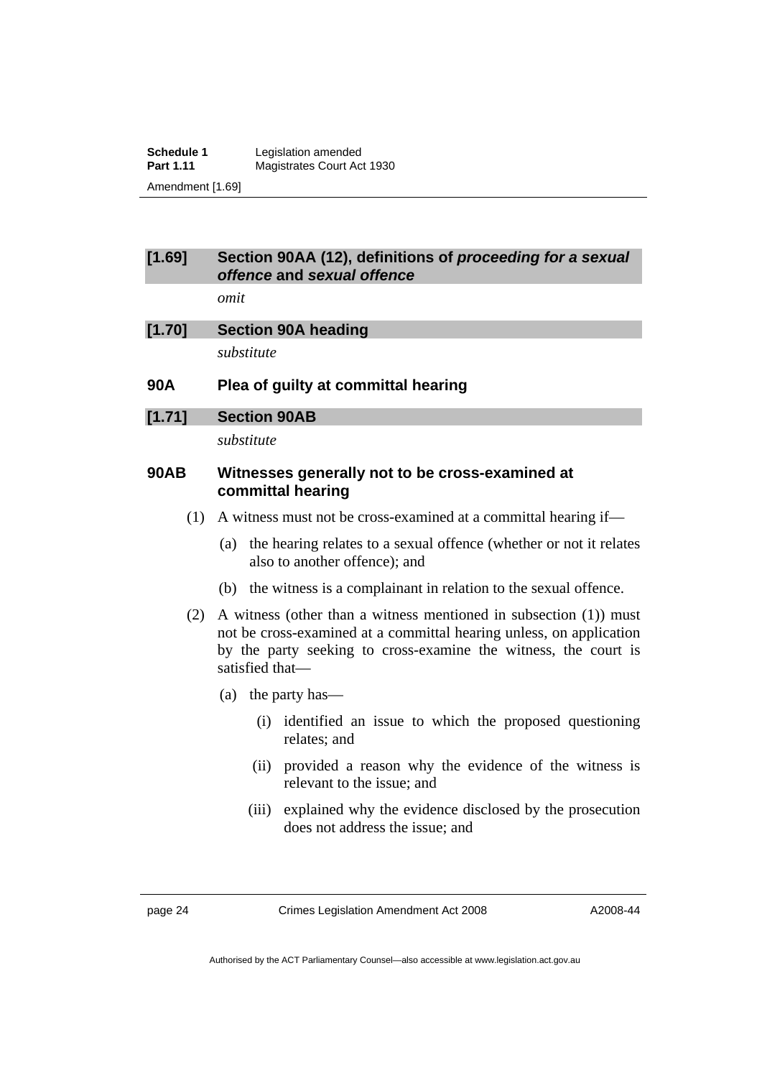**Schedule 1** Legislation amended<br> **Part 1.11** Magistrates Court Ac **Magistrates Court Act 1930** Amendment [1.69]

#### **[1.69] Section 90AA (12), definitions of** *proceeding for a sexual offence* **and** *sexual offence*

*omit* 

| [1.70] | <b>Section 90A heading</b> |
|--------|----------------------------|
|        | substitute                 |

**90A Plea of guilty at committal hearing** 

#### **[1.71] Section 90AB**

*substitute* 

### **90AB Witnesses generally not to be cross-examined at committal hearing**

- (1) A witness must not be cross-examined at a committal hearing if—
	- (a) the hearing relates to a sexual offence (whether or not it relates also to another offence); and
	- (b) the witness is a complainant in relation to the sexual offence.
- (2) A witness (other than a witness mentioned in subsection (1)) must not be cross-examined at a committal hearing unless, on application by the party seeking to cross-examine the witness, the court is satisfied that—
	- (a) the party has—
		- (i) identified an issue to which the proposed questioning relates; and
		- (ii) provided a reason why the evidence of the witness is relevant to the issue; and
		- (iii) explained why the evidence disclosed by the prosecution does not address the issue; and

page 24 Crimes Legislation Amendment Act 2008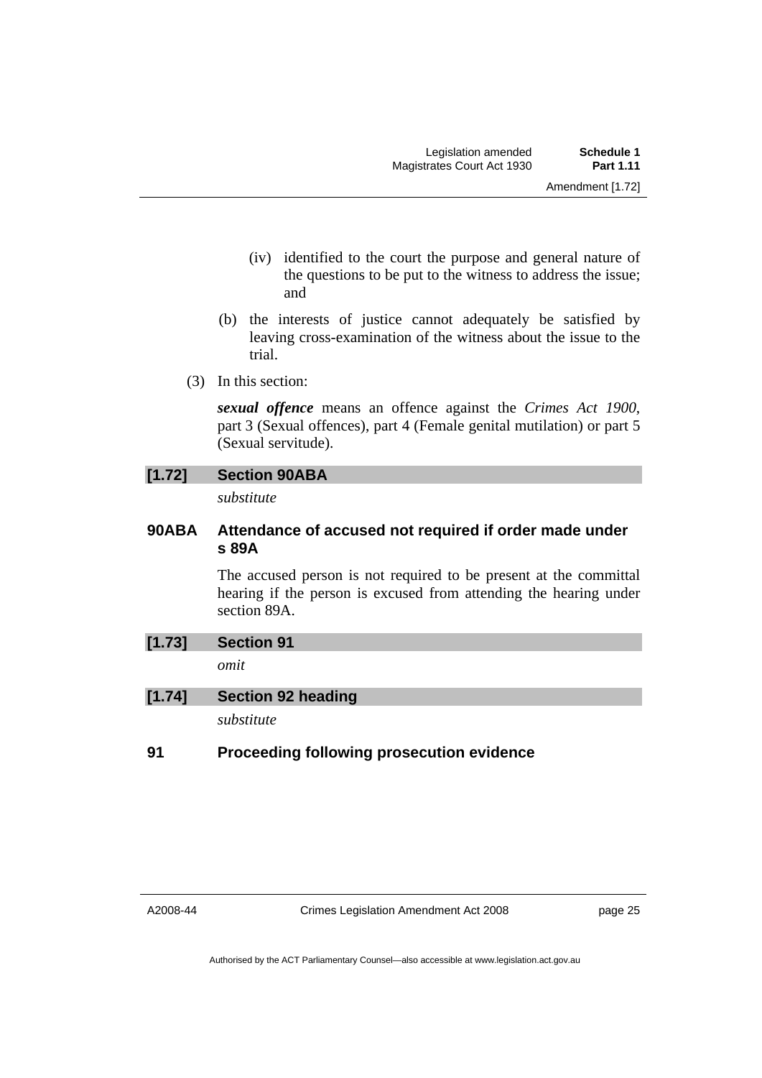- (iv) identified to the court the purpose and general nature of the questions to be put to the witness to address the issue; and
- (b) the interests of justice cannot adequately be satisfied by leaving cross-examination of the witness about the issue to the trial.
- (3) In this section:

*sexual offence* means an offence against the *Crimes Act 1900*, part 3 (Sexual offences), part 4 (Female genital mutilation) or part 5 (Sexual servitude).

### **[1.72] Section 90ABA**

*substitute* 

### **90ABA Attendance of accused not required if order made under s 89A**

The accused person is not required to be present at the committal hearing if the person is excused from attending the hearing under section 89A.

### **[1.73] Section 91**

*omit* 

**[1.74] Section 92 heading** 

*substitute* 

### **91 Proceeding following prosecution evidence**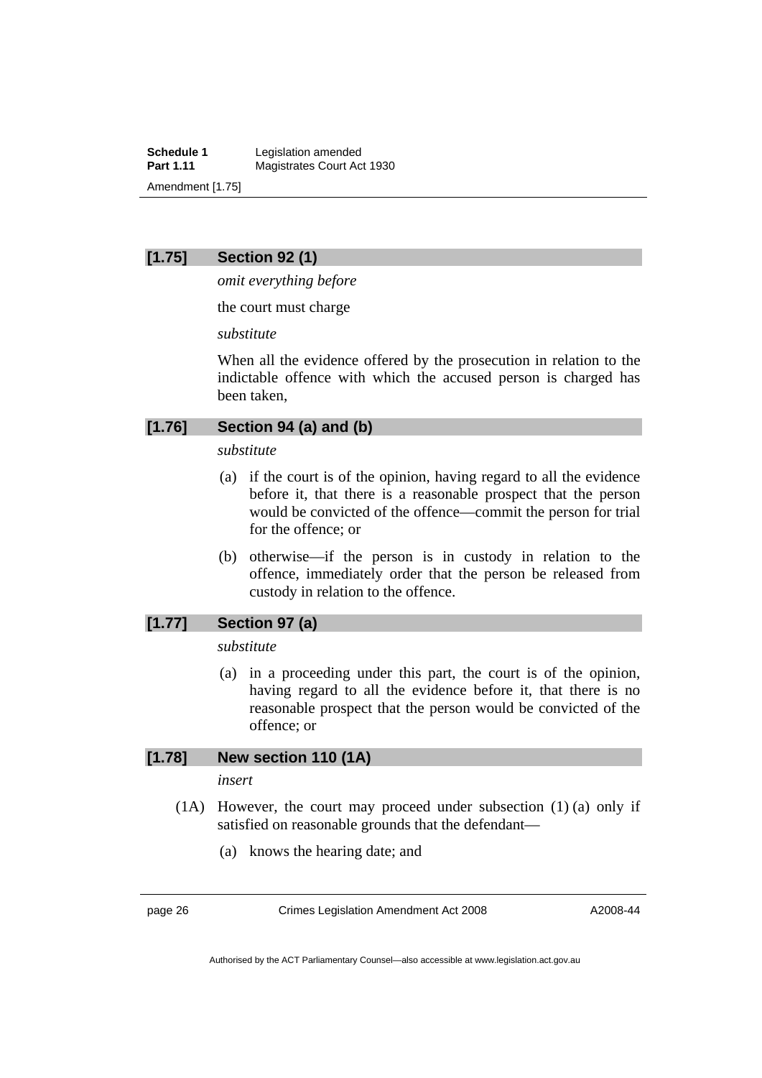**Schedule 1** Legislation amended<br> **Part 1.11** Magistrates Court Ac **Magistrates Court Act 1930** Amendment [1.75]

#### **[1.75] Section 92 (1)**

*omit everything before* 

the court must charge

*substitute* 

When all the evidence offered by the prosecution in relation to the indictable offence with which the accused person is charged has been taken,

#### **[1.76] Section 94 (a) and (b)**

*substitute* 

- (a) if the court is of the opinion, having regard to all the evidence before it, that there is a reasonable prospect that the person would be convicted of the offence—commit the person for trial for the offence; or
- (b) otherwise—if the person is in custody in relation to the offence, immediately order that the person be released from custody in relation to the offence.

#### **[1.77] Section 97 (a)**

*substitute* 

 (a) in a proceeding under this part, the court is of the opinion, having regard to all the evidence before it, that there is no reasonable prospect that the person would be convicted of the offence; or

#### **[1.78] New section 110 (1A)**

*insert* 

- (1A) However, the court may proceed under subsection (1) (a) only if satisfied on reasonable grounds that the defendant—
	- (a) knows the hearing date; and

page 26 Crimes Legislation Amendment Act 2008

A2008-44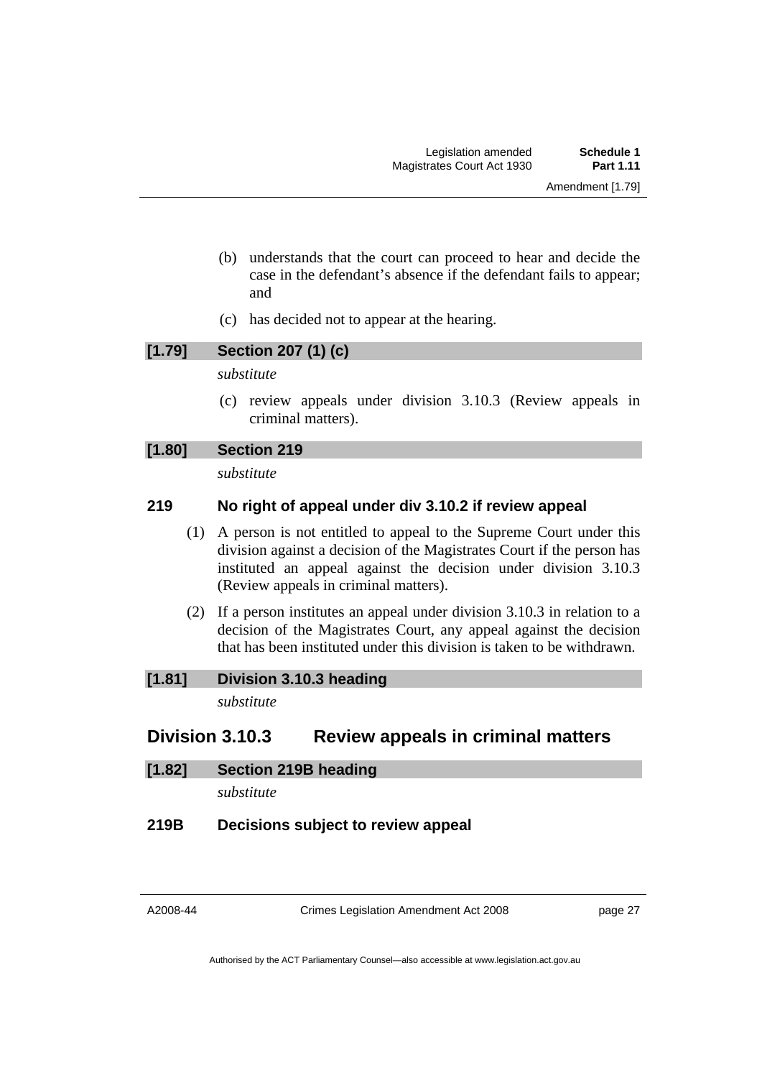- (b) understands that the court can proceed to hear and decide the case in the defendant's absence if the defendant fails to appear; and
- (c) has decided not to appear at the hearing.

# **[1.79] Section 207 (1) (c)**

*substitute* 

 (c) review appeals under division 3.10.3 (Review appeals in criminal matters).

### **[1.80] Section 219**

*substitute* 

### **219 No right of appeal under div 3.10.2 if review appeal**

- (1) A person is not entitled to appeal to the Supreme Court under this division against a decision of the Magistrates Court if the person has instituted an appeal against the decision under division 3.10.3 (Review appeals in criminal matters).
- (2) If a person institutes an appeal under division 3.10.3 in relation to a decision of the Magistrates Court, any appeal against the decision that has been instituted under this division is taken to be withdrawn.

#### **[1.81] Division 3.10.3 heading**

*substitute* 

# **Division 3.10.3 Review appeals in criminal matters**

#### **[1.82] Section 219B heading**

*substitute* 

#### **219B Decisions subject to review appeal**

Crimes Legislation Amendment Act 2008

page 27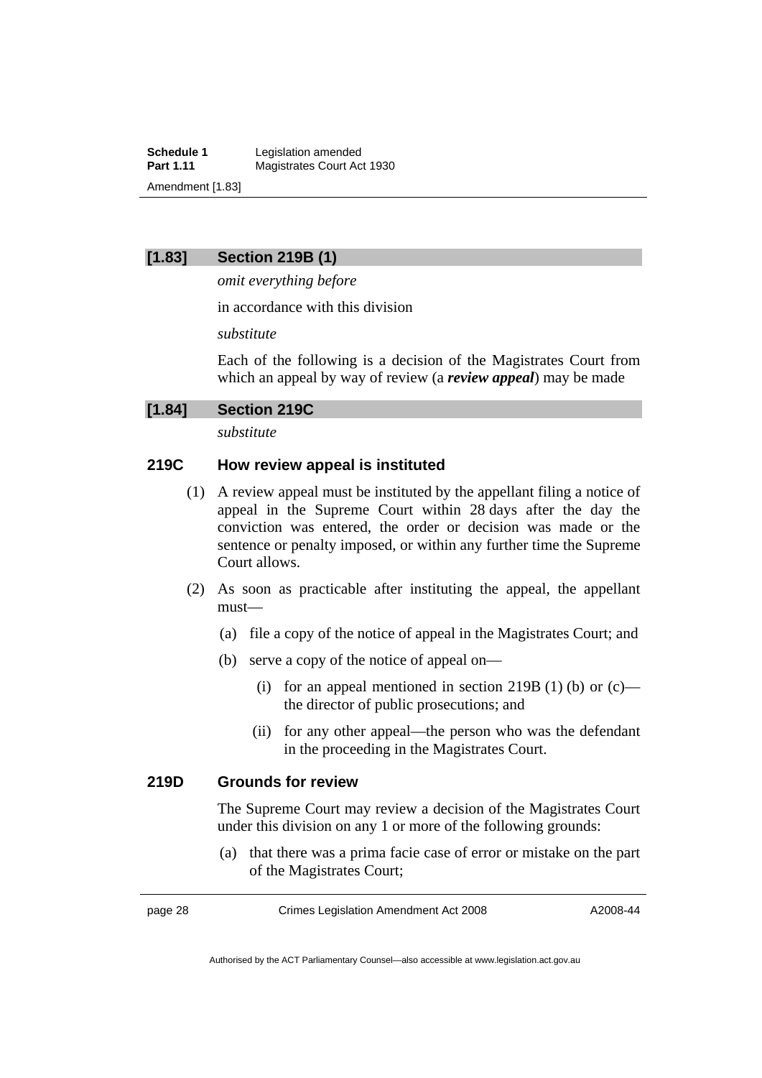**Schedule 1** Legislation amended<br> **Part 1.11** Magistrates Court Ac **Magistrates Court Act 1930** Amendment [1.83]

#### **[1.83] Section 219B (1)**

*omit everything before* 

in accordance with this division

*substitute* 

Each of the following is a decision of the Magistrates Court from which an appeal by way of review (a *review appeal*) may be made

**[1.84] Section 219C** 

*substitute* 

#### **219C How review appeal is instituted**

- (1) A review appeal must be instituted by the appellant filing a notice of appeal in the Supreme Court within 28 days after the day the conviction was entered, the order or decision was made or the sentence or penalty imposed, or within any further time the Supreme Court allows.
- (2) As soon as practicable after instituting the appeal, the appellant must—
	- (a) file a copy of the notice of appeal in the Magistrates Court; and
	- (b) serve a copy of the notice of appeal on—
		- (i) for an appeal mentioned in section 219B (1) (b) or  $(c)$  the director of public prosecutions; and
		- (ii) for any other appeal—the person who was the defendant in the proceeding in the Magistrates Court.

#### **219D Grounds for review**

The Supreme Court may review a decision of the Magistrates Court under this division on any 1 or more of the following grounds:

 (a) that there was a prima facie case of error or mistake on the part of the Magistrates Court;

page 28 Crimes Legislation Amendment Act 2008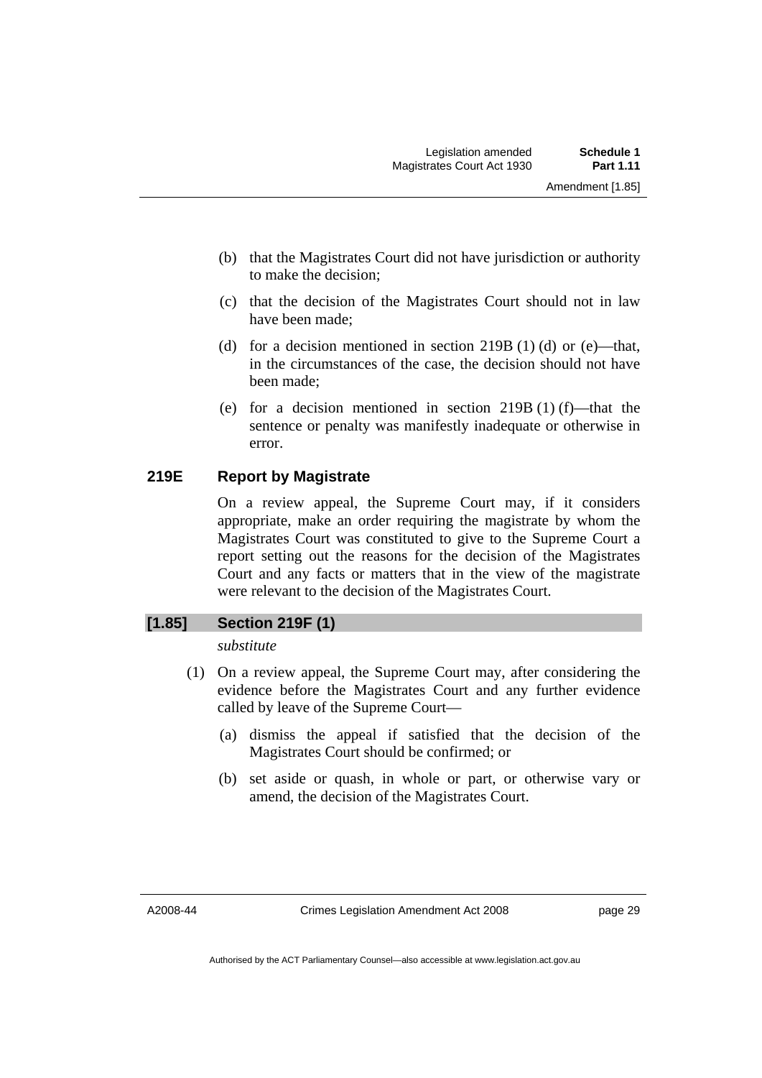- (b) that the Magistrates Court did not have jurisdiction or authority to make the decision;
- (c) that the decision of the Magistrates Court should not in law have been made;
- (d) for a decision mentioned in section 219B (1) (d) or (e)—that, in the circumstances of the case, the decision should not have been made;
- (e) for a decision mentioned in section 219B (1) (f)—that the sentence or penalty was manifestly inadequate or otherwise in error.

### **219E Report by Magistrate**

On a review appeal, the Supreme Court may, if it considers appropriate, make an order requiring the magistrate by whom the Magistrates Court was constituted to give to the Supreme Court a report setting out the reasons for the decision of the Magistrates Court and any facts or matters that in the view of the magistrate were relevant to the decision of the Magistrates Court.

### **[1.85] Section 219F (1)**

*substitute* 

- (1) On a review appeal, the Supreme Court may, after considering the evidence before the Magistrates Court and any further evidence called by leave of the Supreme Court—
	- (a) dismiss the appeal if satisfied that the decision of the Magistrates Court should be confirmed; or
	- (b) set aside or quash, in whole or part, or otherwise vary or amend, the decision of the Magistrates Court.

A2008-44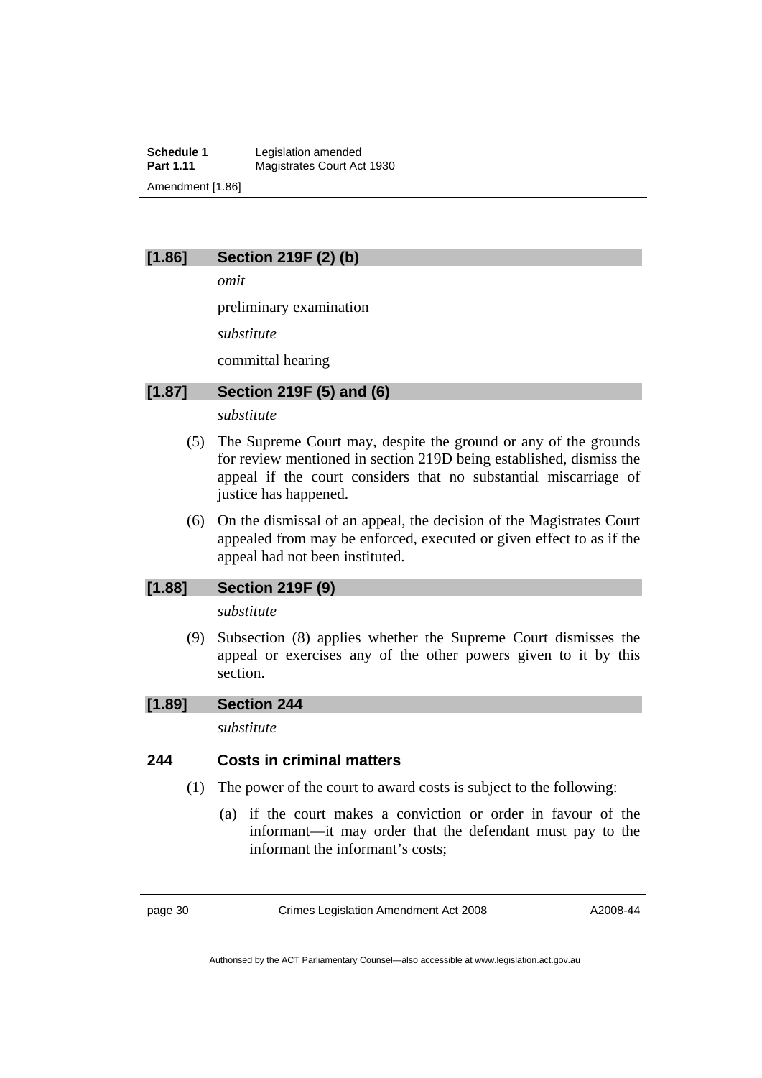**Schedule 1** Legislation amended<br> **Part 1.11** Magistrates Court Ac **Magistrates Court Act 1930** Amendment [1.86]

### **[1.86] Section 219F (2) (b)**

*omit* 

preliminary examination

*substitute* 

committal hearing

### **[1.87] Section 219F (5) and (6)**

### *substitute*

- (5) The Supreme Court may, despite the ground or any of the grounds for review mentioned in section 219D being established, dismiss the appeal if the court considers that no substantial miscarriage of justice has happened.
- (6) On the dismissal of an appeal, the decision of the Magistrates Court appealed from may be enforced, executed or given effect to as if the appeal had not been instituted.

#### **[1.88] Section 219F (9)**

#### *substitute*

 (9) Subsection (8) applies whether the Supreme Court dismisses the appeal or exercises any of the other powers given to it by this section.

### **[1.89] Section 244**

*substitute* 

#### **244 Costs in criminal matters**

- (1) The power of the court to award costs is subject to the following:
	- (a) if the court makes a conviction or order in favour of the informant—it may order that the defendant must pay to the informant the informant's costs;

page 30 Crimes Legislation Amendment Act 2008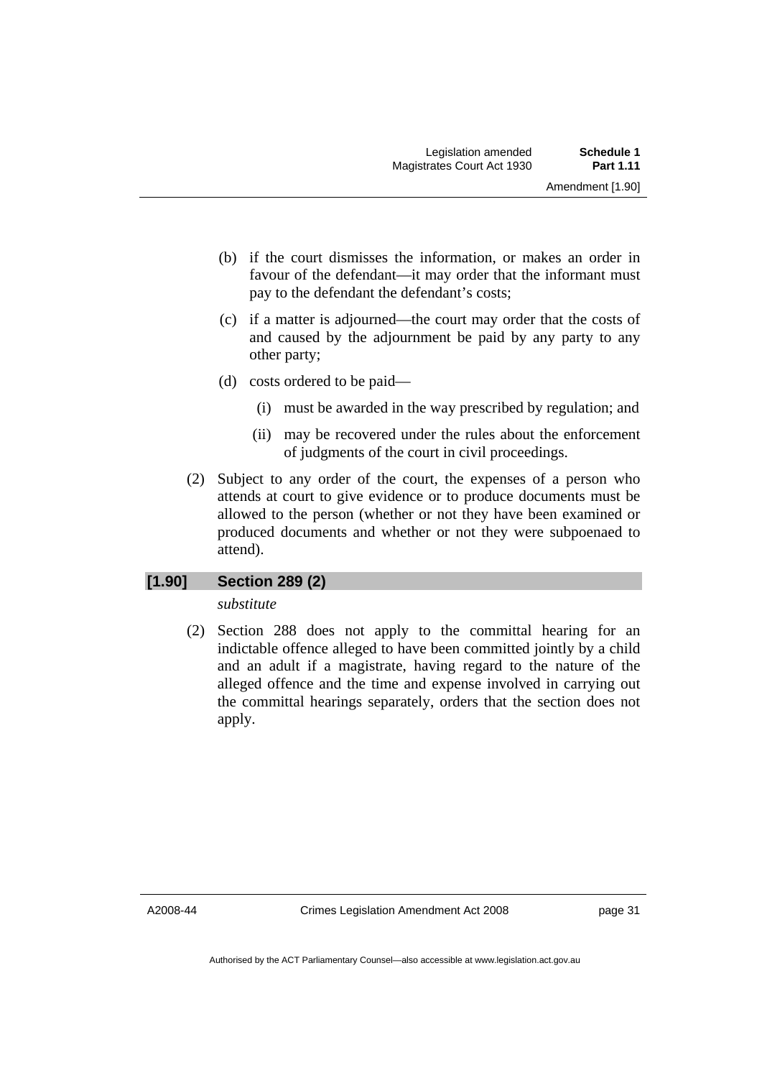- (b) if the court dismisses the information, or makes an order in favour of the defendant—it may order that the informant must pay to the defendant the defendant's costs;
- (c) if a matter is adjourned—the court may order that the costs of and caused by the adjournment be paid by any party to any other party;
- (d) costs ordered to be paid—
	- (i) must be awarded in the way prescribed by regulation; and
	- (ii) may be recovered under the rules about the enforcement of judgments of the court in civil proceedings.
- (2) Subject to any order of the court, the expenses of a person who attends at court to give evidence or to produce documents must be allowed to the person (whether or not they have been examined or produced documents and whether or not they were subpoenaed to attend).

### **[1.90] Section 289 (2)**

*substitute* 

 (2) Section 288 does not apply to the committal hearing for an indictable offence alleged to have been committed jointly by a child and an adult if a magistrate, having regard to the nature of the alleged offence and the time and expense involved in carrying out the committal hearings separately, orders that the section does not apply.

A2008-44

Crimes Legislation Amendment Act 2008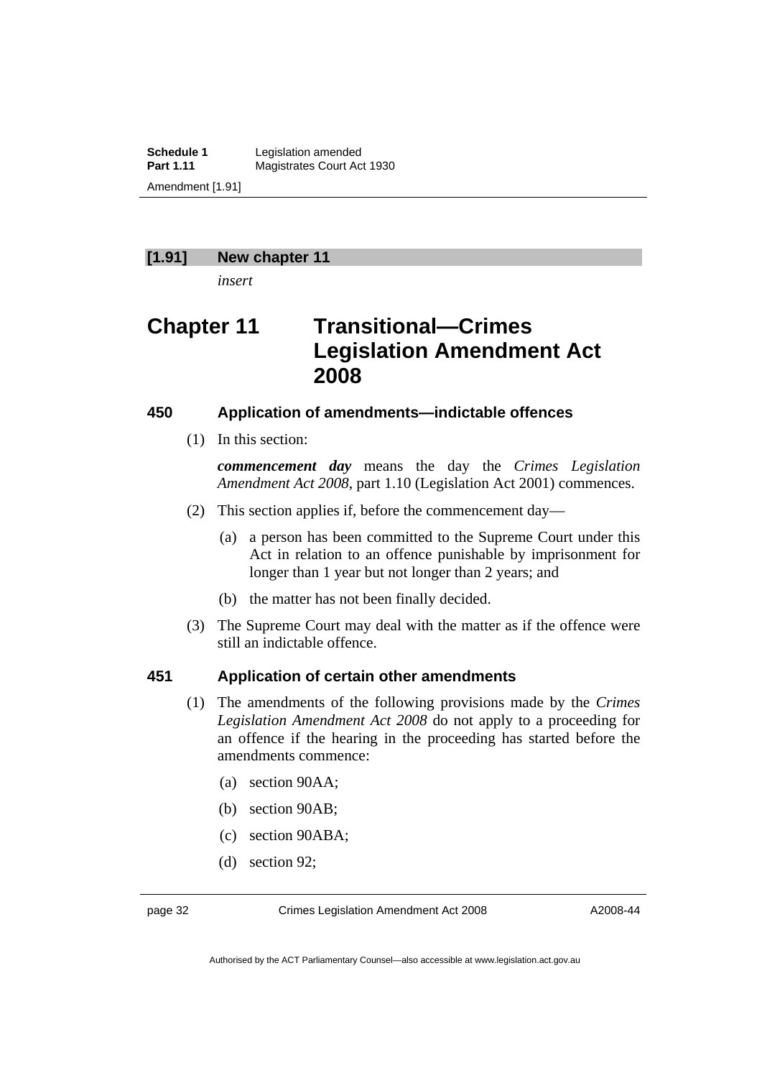**Schedule 1** Legislation amended<br> **Part 1.11** Magistrates Court Ac **Magistrates Court Act 1930** Amendment [1.91]

#### **[1.91] New chapter 11**

*insert* 

# **Chapter 11 Transitional—Crimes Legislation Amendment Act 2008**

#### **450 Application of amendments—indictable offences**

(1) In this section:

*commencement day* means the day the *Crimes Legislation Amendment Act 2008*, part 1.10 (Legislation Act 2001) commences.

- (2) This section applies if, before the commencement day—
	- (a) a person has been committed to the Supreme Court under this Act in relation to an offence punishable by imprisonment for longer than 1 year but not longer than 2 years; and
	- (b) the matter has not been finally decided.
- (3) The Supreme Court may deal with the matter as if the offence were still an indictable offence.

#### **451 Application of certain other amendments**

- (1) The amendments of the following provisions made by the *Crimes Legislation Amendment Act 2008* do not apply to a proceeding for an offence if the hearing in the proceeding has started before the amendments commence:
	- (a) section 90AA;
	- (b) section 90AB;
	- (c) section 90ABA;
	- (d) section 92;

page 32 Crimes Legislation Amendment Act 2008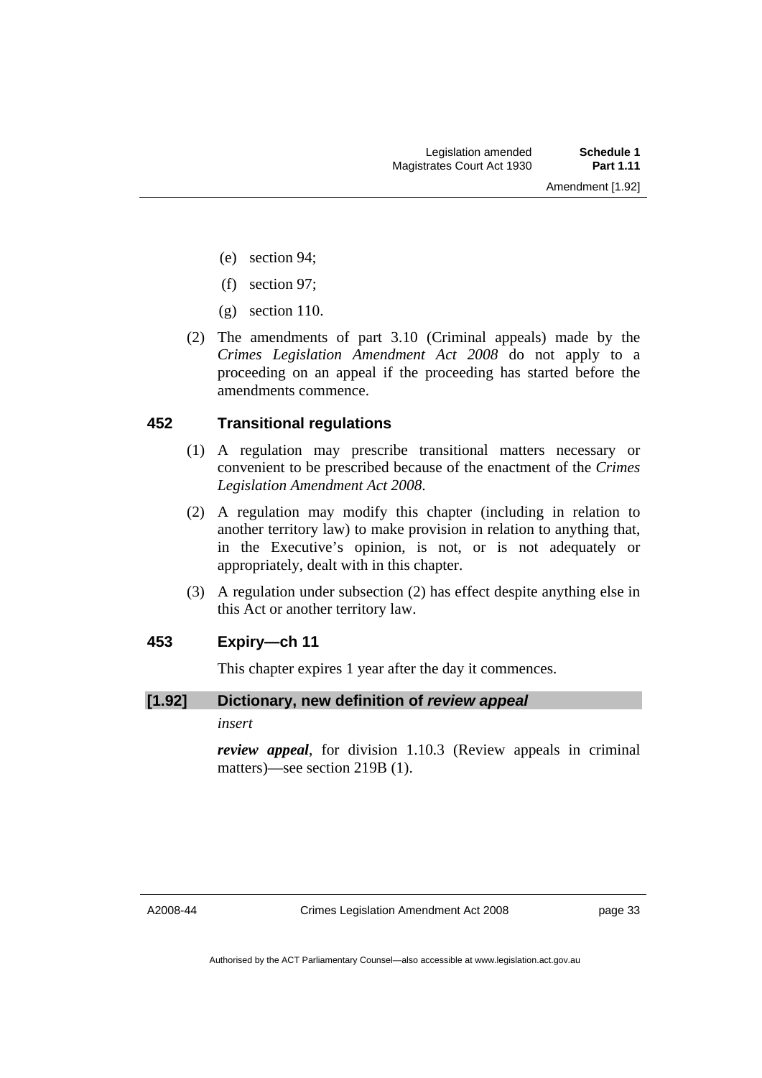- (e) section 94;
- (f) section 97;
- (g) section 110.
- (2) The amendments of part 3.10 (Criminal appeals) made by the *Crimes Legislation Amendment Act 2008* do not apply to a proceeding on an appeal if the proceeding has started before the amendments commence.

#### **452 Transitional regulations**

- (1) A regulation may prescribe transitional matters necessary or convenient to be prescribed because of the enactment of the *Crimes Legislation Amendment Act 2008*.
- (2) A regulation may modify this chapter (including in relation to another territory law) to make provision in relation to anything that, in the Executive's opinion, is not, or is not adequately or appropriately, dealt with in this chapter.
- (3) A regulation under subsection (2) has effect despite anything else in this Act or another territory law.

#### **453 Expiry—ch 11**

This chapter expires 1 year after the day it commences.

#### **[1.92] Dictionary, new definition of** *review appeal*

*insert* 

*review appeal*, for division 1.10.3 (Review appeals in criminal matters)—see section 219B (1).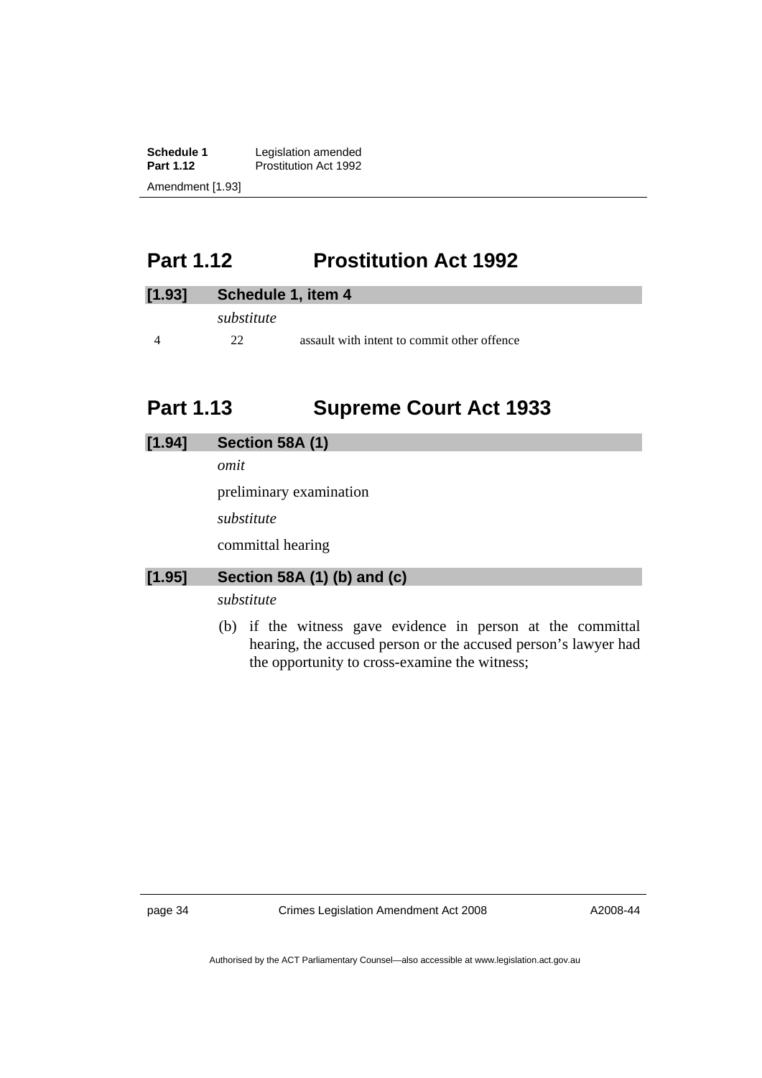<span id="page-35-0"></span>**Schedule 1** Legislation amended<br>**Part 1.12** Prostitution Act 1992 **Prostitution Act 1992** Amendment [1.93]

# **Part 1.12 Prostitution Act 1992**

| [1.93] | Schedule 1, item 4 |                                             |
|--------|--------------------|---------------------------------------------|
|        | substitute         |                                             |
|        | 22                 | assault with intent to commit other offence |

# **Part 1.13 Supreme Court Act 1933**

| [1.94] | Section 58A (1)             |
|--------|-----------------------------|
|        | omit                        |
|        | preliminary examination     |
|        | substitute                  |
|        | committal hearing           |
| [1.95] | Section 58A (1) (b) and (c) |
|        | substitute                  |

 (b) if the witness gave evidence in person at the committal hearing, the accused person or the accused person's lawyer had the opportunity to cross-examine the witness;

page 34 Crimes Legislation Amendment Act 2008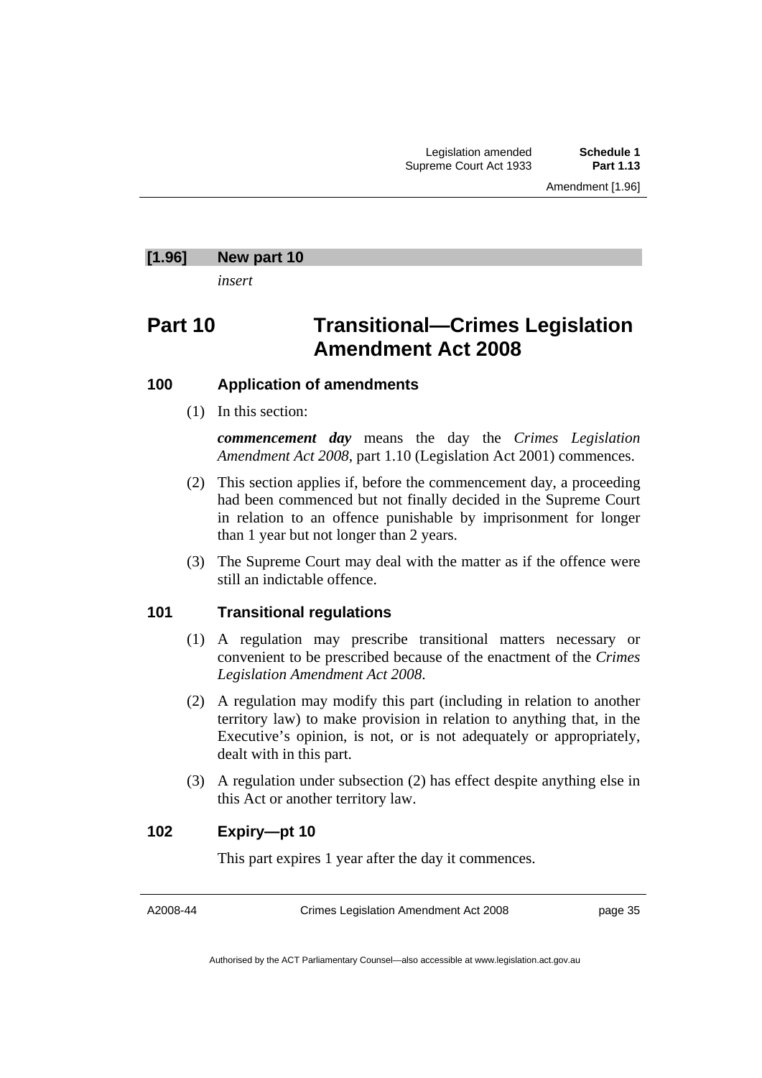#### **[1.96] New part 10**

*insert* 

# **Part 10 Transitional—Crimes Legislation Amendment Act 2008**

#### **100 Application of amendments**

(1) In this section:

*commencement day* means the day the *Crimes Legislation Amendment Act 2008*, part 1.10 (Legislation Act 2001) commences.

- (2) This section applies if, before the commencement day, a proceeding had been commenced but not finally decided in the Supreme Court in relation to an offence punishable by imprisonment for longer than 1 year but not longer than 2 years.
- (3) The Supreme Court may deal with the matter as if the offence were still an indictable offence.

### **101 Transitional regulations**

- (1) A regulation may prescribe transitional matters necessary or convenient to be prescribed because of the enactment of the *Crimes Legislation Amendment Act 2008*.
- (2) A regulation may modify this part (including in relation to another territory law) to make provision in relation to anything that, in the Executive's opinion, is not, or is not adequately or appropriately, dealt with in this part.
- (3) A regulation under subsection (2) has effect despite anything else in this Act or another territory law.

#### **102 Expiry—pt 10**

This part expires 1 year after the day it commences.

A2008-44

Crimes Legislation Amendment Act 2008